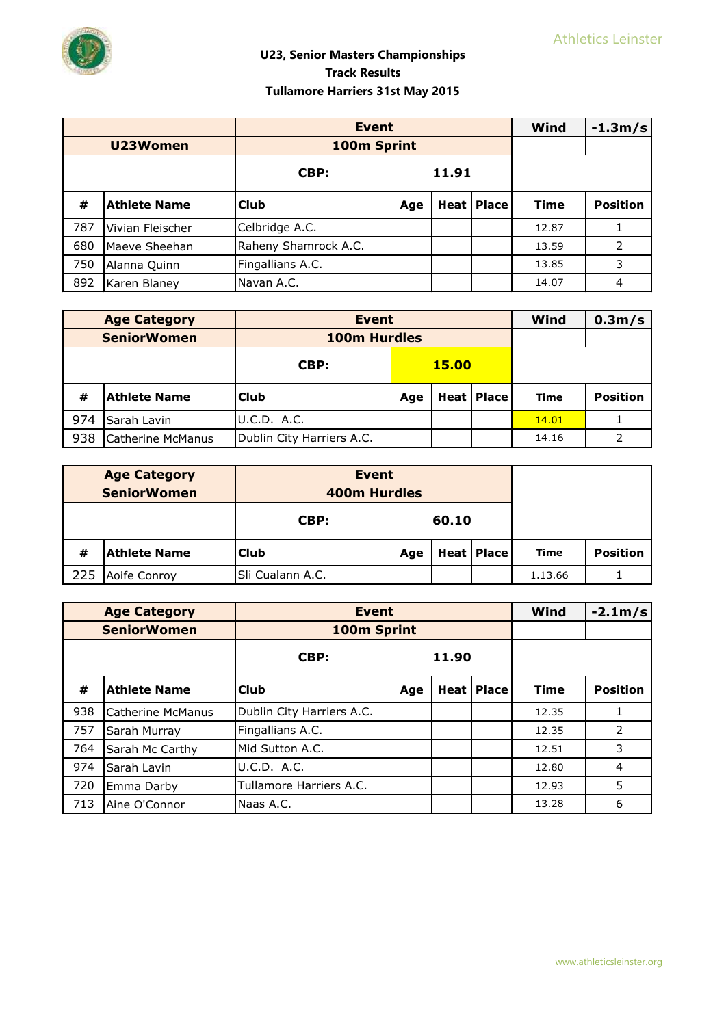

|     |                     | <b>Event</b>         |                            |  |  | Wind        | $-1.3m/s$       |
|-----|---------------------|----------------------|----------------------------|--|--|-------------|-----------------|
|     | U23Women            | 100m Sprint          |                            |  |  |             |                 |
|     |                     | CBP:                 | 11.91                      |  |  |             |                 |
| #   | <b>Athlete Name</b> | <b>Club</b>          | <b>Heat   Place</b><br>Age |  |  | <b>Time</b> | <b>Position</b> |
| 787 | Vivian Fleischer    | Celbridge A.C.       |                            |  |  | 12.87       |                 |
| 680 | Maeve Sheehan       | Raheny Shamrock A.C. |                            |  |  | 13.59       | 2               |
| 750 | Alanna Quinn        | Fingallians A.C.     |                            |  |  | 13.85       | 3               |
| 892 | Karen Blaney        | Navan A.C.           |                            |  |  | 14.07       | 4               |

|     | <b>Age Category</b> | <b>Event</b>              |                          |  |  | Wind  | 0.3 <sub>m</sub> /s |
|-----|---------------------|---------------------------|--------------------------|--|--|-------|---------------------|
|     | <b>SeniorWomen</b>  | 100m Hurdles              |                          |  |  |       |                     |
|     |                     | CBP:                      | <b>15.00</b>             |  |  |       |                     |
| #   | <b>Athlete Name</b> | <b>Club</b>               | <b>Heat Place</b><br>Age |  |  | Time  | <b>Position</b>     |
| 974 | Sarah Lavin         | U.C.D. A.C.               |                          |  |  | 14.01 |                     |
| 938 | Catherine McManus   | Dublin City Harriers A.C. |                          |  |  | 14.16 | 2                   |

|     | <b>Age Category</b>              | Event               |                       |  |  |      |                 |
|-----|----------------------------------|---------------------|-----------------------|--|--|------|-----------------|
|     | <b>SeniorWomen</b>               | <b>400m Hurdles</b> |                       |  |  |      |                 |
|     |                                  | CBP:                | 60.10                 |  |  |      |                 |
| #   | <b>Athlete Name</b>              | <b>Club</b>         | Heat   Place  <br>Age |  |  | Time | <b>Position</b> |
| 225 | Sli Cualann A.C.<br>Aoife Conroy |                     | 1.13.66               |  |  |      |                 |

|     | <b>Age Category</b> | <b>Event</b>              |       |        |              | Wind        | $-2.1m/s$       |
|-----|---------------------|---------------------------|-------|--------|--------------|-------------|-----------------|
|     | <b>SeniorWomen</b>  | 100m Sprint               |       |        |              |             |                 |
|     |                     | CBP:                      | 11.90 |        |              |             |                 |
| #   | <b>Athlete Name</b> | Club                      | Age   | Heat l | <b>Place</b> | <b>Time</b> | <b>Position</b> |
| 938 | Catherine McManus   | Dublin City Harriers A.C. |       |        |              | 12.35       |                 |
| 757 | Sarah Murray        | Fingallians A.C.          |       |        |              | 12.35       | 2               |
| 764 | Sarah Mc Carthy     | Mid Sutton A.C.           |       |        |              | 12.51       | 3               |
| 974 | Sarah Lavin         | U.C.D. A.C.               |       |        |              | 12.80       | $\overline{4}$  |
| 720 | Emma Darby          | Tullamore Harriers A.C.   |       |        |              | 12.93       | 5               |
| 713 | Aine O'Connor       | Naas A.C.                 |       |        |              | 13.28       | 6               |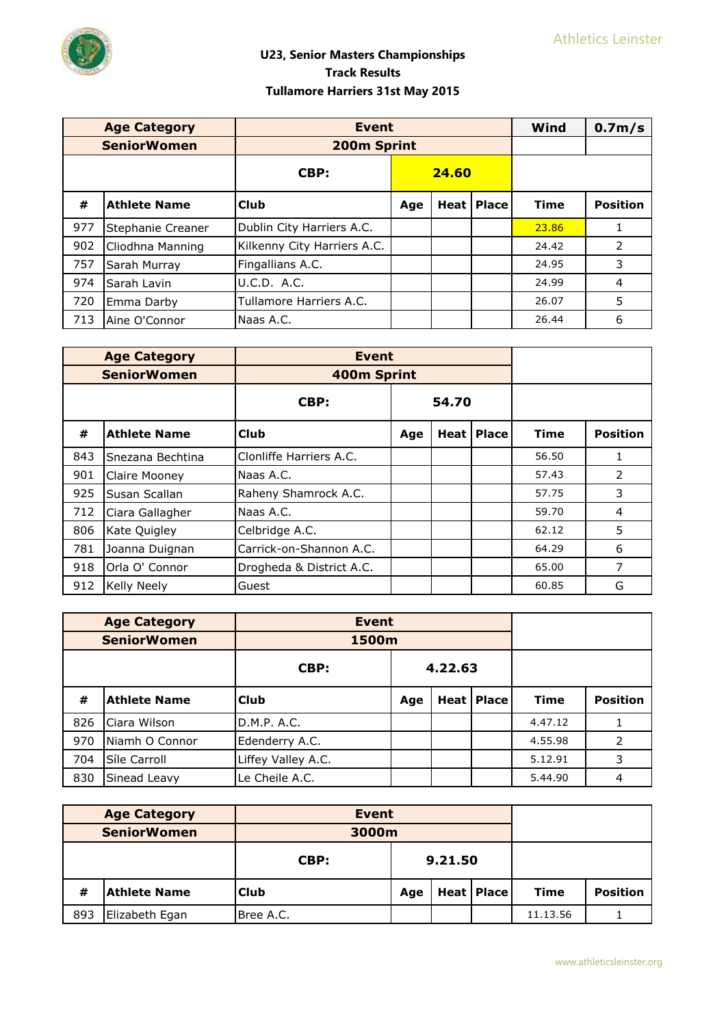

|     | <b>Age Category</b> | <b>Event</b>                |       |  |                     | Wind        | 0.7 <sub>m</sub> /s |
|-----|---------------------|-----------------------------|-------|--|---------------------|-------------|---------------------|
|     | <b>SeniorWomen</b>  | 200m Sprint                 |       |  |                     |             |                     |
|     |                     | CBP:                        | 24.60 |  |                     |             |                     |
| #   | <b>Athlete Name</b> | <b>Club</b>                 | Age   |  | <b>Heat   Place</b> | <b>Time</b> | <b>Position</b>     |
| 977 | Stephanie Creaner   | Dublin City Harriers A.C.   |       |  |                     | 23.86       |                     |
| 902 | Cliodhna Manning    | Kilkenny City Harriers A.C. |       |  |                     | 24.42       | 2                   |
| 757 | Sarah Murray        | Fingallians A.C.            |       |  |                     | 24.95       | 3                   |
| 974 | Sarah Lavin         | U.C.D. A.C.                 |       |  |                     | 24.99       | $\overline{4}$      |
| 720 | Emma Darby          | Tullamore Harriers A.C.     |       |  |                     | 26.07       | 5                   |
| 713 | Aine O'Connor       | Naas A.C.                   |       |  |                     | 26.44       | 6                   |

|     | <b>Age Category</b> | <b>Event</b>             |       |  |                     |             |                 |
|-----|---------------------|--------------------------|-------|--|---------------------|-------------|-----------------|
|     | <b>SeniorWomen</b>  | 400m Sprint              |       |  |                     |             |                 |
|     |                     | CBP:                     | 54.70 |  |                     |             |                 |
| #   | <b>Athlete Name</b> | <b>Club</b>              | Age   |  | <b>Heat   Place</b> | <b>Time</b> | <b>Position</b> |
| 843 | Snezana Bechtina    | Clonliffe Harriers A.C.  |       |  |                     | 56.50       |                 |
| 901 | Claire Mooney       | Naas A.C.                |       |  |                     | 57.43       | $\mathcal{P}$   |
| 925 | Susan Scallan       | Raheny Shamrock A.C.     |       |  |                     | 57.75       | 3               |
| 712 | Ciara Gallagher     | Naas A.C.                |       |  |                     | 59.70       | 4               |
| 806 | Kate Quigley        | Celbridge A.C.           |       |  |                     | 62.12       | 5               |
| 781 | Joanna Duignan      | Carrick-on-Shannon A.C.  |       |  |                     | 64.29       | 6               |
| 918 | Orla O' Connor      | Drogheda & District A.C. |       |  |                     | 65.00       | 7               |
| 912 | Kelly Neely         | Guest                    |       |  |                     | 60.85       | G               |

|     | <b>Age Category</b> | <b>Event</b>       |         |                   |  |             |                 |
|-----|---------------------|--------------------|---------|-------------------|--|-------------|-----------------|
|     | <b>SeniorWomen</b>  | 1500m              |         |                   |  |             |                 |
|     |                     | CBP:               | 4.22.63 |                   |  |             |                 |
| #   | <b>Athlete Name</b> | <b>Club</b>        | Age     | <b>Heat Place</b> |  | <b>Time</b> | <b>Position</b> |
| 826 | Ciara Wilson        | D.M.P. A.C.        |         |                   |  | 4.47.12     |                 |
| 970 | Niamh O Connor      | Edenderry A.C.     |         |                   |  | 4.55.98     | 2               |
| 704 | Síle Carroll        | Liffey Valley A.C. |         |                   |  | 5.12.91     | 3               |
| 830 | Sinead Leavy        | Le Cheile A.C.     |         |                   |  | 5.44.90     | 4               |

| <b>Age Category</b>   |                     | <b>Event</b> |                       |  |             |                 |  |
|-----------------------|---------------------|--------------|-----------------------|--|-------------|-----------------|--|
|                       | <b>SeniorWomen</b>  | 3000m        |                       |  |             |                 |  |
|                       |                     | CBP:         | 9.21.50               |  |             |                 |  |
| #                     | <b>Athlete Name</b> | <b>Club</b>  | Heat   Place  <br>Age |  | <b>Time</b> | <b>Position</b> |  |
| 893<br>Elizabeth Egan |                     | Bree A.C.    |                       |  |             | 11.13.56        |  |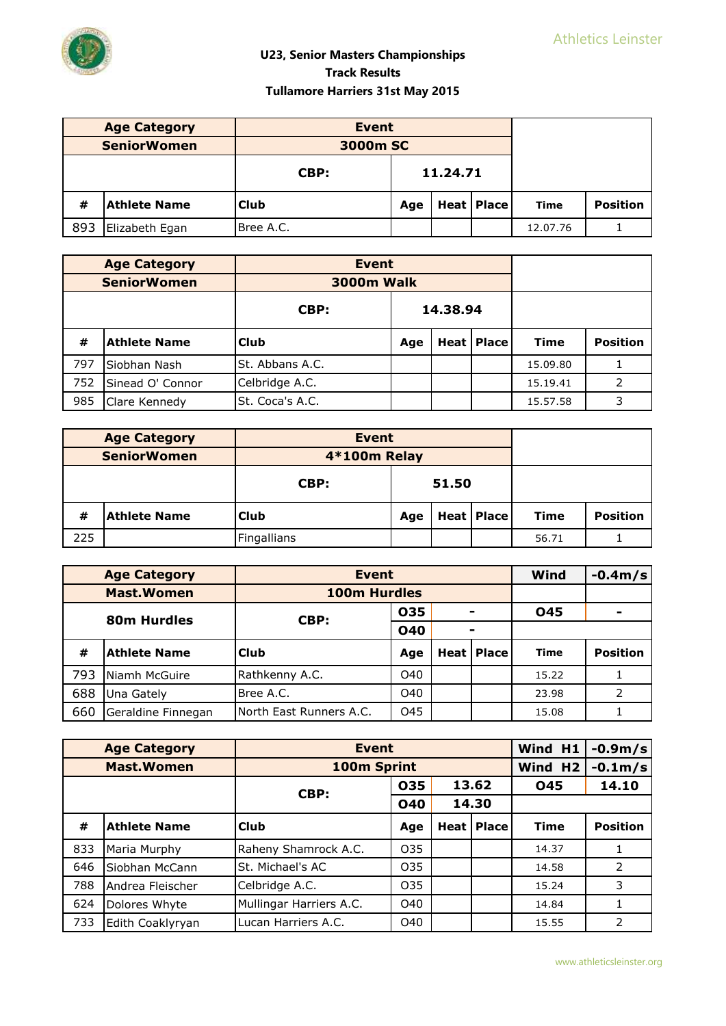

|     | <b>Age Category</b> | <b>Event</b> |                          |  |      |                 |  |
|-----|---------------------|--------------|--------------------------|--|------|-----------------|--|
|     | <b>SeniorWomen</b>  | 3000m SC     |                          |  |      |                 |  |
|     |                     | CBP:         | 11.24.71                 |  |      |                 |  |
| #   | <b>Athlete Name</b> | <b>Club</b>  | <b>Heat Place</b><br>Age |  | Time | <b>Position</b> |  |
| 893 | Elizabeth Egan      | Bree A.C.    |                          |  |      | 12.07.76        |  |

| <b>Age Category</b> |                     | <b>Event</b>      |          |  |              |             |                 |
|---------------------|---------------------|-------------------|----------|--|--------------|-------------|-----------------|
|                     | <b>SeniorWomen</b>  | <b>3000m Walk</b> |          |  |              |             |                 |
|                     |                     | CBP:              | 14.38.94 |  |              |             |                 |
| #                   | <b>Athlete Name</b> | <b>Club</b>       | Age      |  | Heat   Place | <b>Time</b> | <b>Position</b> |
| 797                 | Siobhan Nash        | St. Abbans A.C.   |          |  |              | 15.09.80    |                 |
| 752                 | Sinead O' Connor    | Celbridge A.C.    |          |  |              | 15.19.41    |                 |
| 985                 | Clare Kennedy       | St. Coca's A.C.   |          |  |              | 15.57.58    | 3               |

|     | <b>Age Category</b> | <b>Event</b> |                          |  |  |             |                 |
|-----|---------------------|--------------|--------------------------|--|--|-------------|-----------------|
|     | <b>SeniorWomen</b>  | 4*100m Relay |                          |  |  |             |                 |
|     |                     | CBP:         | 51.50                    |  |  |             |                 |
| #   | <b>Athlete Name</b> | <b>Club</b>  | <b>Heat Place</b><br>Age |  |  | <b>Time</b> | <b>Position</b> |
| 225 |                     | Fingallians  |                          |  |  | 56.71       |                 |

|             | <b>Age Category</b> | <b>Event</b>             |            |                |  | Wind        | $-0.4m/s$                |
|-------------|---------------------|--------------------------|------------|----------------|--|-------------|--------------------------|
|             | <b>Mast.Women</b>   | 100m Hurdles             |            |                |  |             |                          |
| 80m Hurdles |                     | CBP:                     | 035        |                |  | 045         | $\overline{\phantom{0}}$ |
|             |                     |                          | <b>040</b> | $\blacksquare$ |  |             |                          |
| #           | <b>Athlete Name</b> | l Club                   | Age        | Heat   Place   |  | <b>Time</b> | <b>Position</b>          |
| 793         | Niamh McGuire       | Rathkenny A.C.           | O40        |                |  | 15.22       |                          |
| 688         | Una Gately          | Bree A.C.                | O40        |                |  | 23.98       | 2                        |
| 660         | Geraldine Finnegan  | INorth East Runners A.C. | 045        |                |  | 15.08       |                          |

|     | <b>Age Category</b> | <b>Event</b>            | Wind H1         | $-0.9m/s$      |                     |             |                 |
|-----|---------------------|-------------------------|-----------------|----------------|---------------------|-------------|-----------------|
|     | <b>Mast.Women</b>   | 100m Sprint             |                 |                |                     | Wind H2     | $-0.1m$ /s      |
|     |                     | CBP:                    | 035             | 13.62<br>14.30 |                     | 045         | 14.10           |
|     |                     |                         | <b>040</b>      |                |                     |             |                 |
| #   | <b>Athlete Name</b> | <b>Club</b>             | Age             |                | <b>Heat   Place</b> | <b>Time</b> | <b>Position</b> |
| 833 | Maria Murphy        | Raheny Shamrock A.C.    | O <sub>35</sub> |                |                     | 14.37       |                 |
| 646 | Siobhan McCann      | St. Michael's AC        | 035             |                |                     | 14.58       | 2               |
| 788 | Andrea Fleischer    | Celbridge A.C.          | 035             |                |                     | 15.24       | 3               |
| 624 | Dolores Whyte       | Mullingar Harriers A.C. | O40             |                |                     | 14.84       |                 |
| 733 | Edith Coaklyryan    | Lucan Harriers A.C.     | O40             |                |                     | 15.55       | 2               |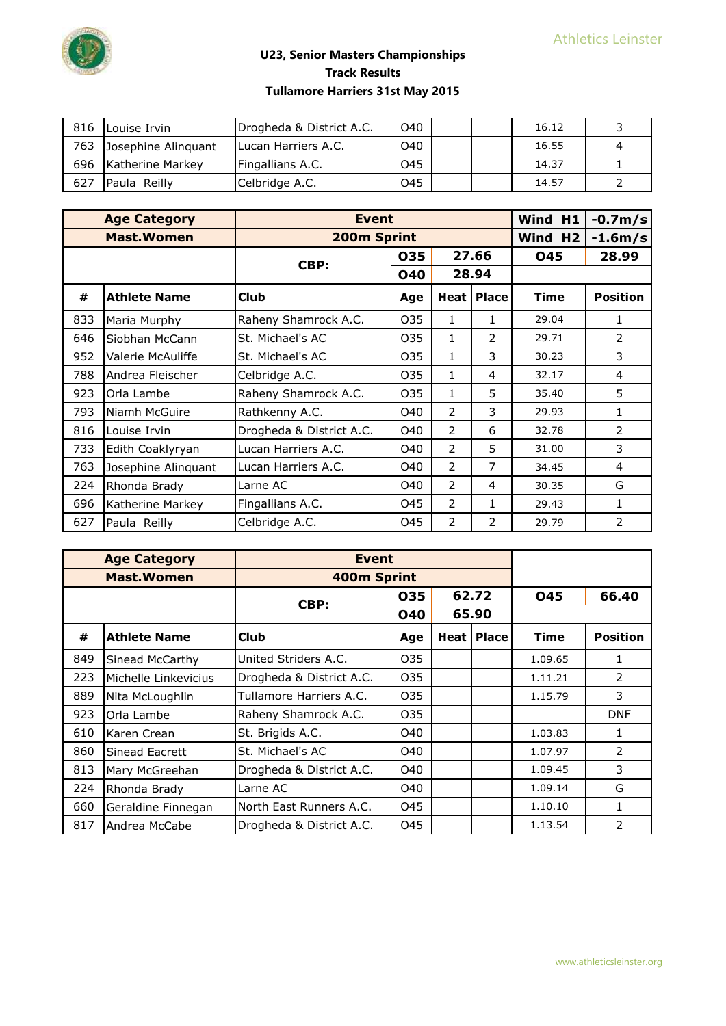

| 816 | Louise Irvin        | Drogheda & District A.C. | O40 | 16.12 |  |
|-----|---------------------|--------------------------|-----|-------|--|
| 763 | Josephine Alinguant | ILucan Harriers A.C.     | O40 | 16.55 |  |
| 696 | Katherine Markey    | Fingallians A.C.         | 045 | 14.37 |  |
| 627 | Paula Reilly        | Celbridge A.C.           | 045 | 14.57 |  |

|     | <b>Age Category</b> | <b>Event</b>             | Wind H1 | $-0.7m/s$      |                     |                     |                 |
|-----|---------------------|--------------------------|---------|----------------|---------------------|---------------------|-----------------|
|     | <b>Mast.Women</b>   | 200m Sprint              |         |                |                     | Wind H <sub>2</sub> | $-1.6m/s$       |
|     |                     | CBP:                     | 035     | 27.66          |                     | <b>045</b>          | 28.99           |
|     |                     |                          | 040     | 28.94          |                     |                     |                 |
| #   | <b>Athlete Name</b> | <b>Club</b>              | Age     |                | <b>Heat   Place</b> | <b>Time</b>         | <b>Position</b> |
| 833 | Maria Murphy        | Raheny Shamrock A.C.     | 035     | 1              | 1                   | 29.04               | 1               |
| 646 | Siobhan McCann      | St. Michael's AC         | 035     | 1              | $\mathcal{P}$       | 29.71               | 2               |
| 952 | Valerie McAuliffe   | St. Michael's AC         | 035     | 1              | 3                   | 30.23               | 3               |
| 788 | Andrea Fleischer    | Celbridge A.C.           | 035     | 1              | 4                   | 32.17               | 4               |
| 923 | Orla Lambe          | Raheny Shamrock A.C.     | 035     | 1              | 5                   | 35.40               | 5               |
| 793 | Niamh McGuire       | Rathkenny A.C.           | O40     | $\mathcal{P}$  | 3                   | 29.93               | 1               |
| 816 | Louise Irvin        | Drogheda & District A.C. | O40     | 2              | 6                   | 32.78               | 2               |
| 733 | Edith Coaklyryan    | Lucan Harriers A.C.      | O40     | $\mathcal{P}$  | 5                   | 31.00               | 3               |
| 763 | Josephine Alinquant | Lucan Harriers A.C.      | O40     | 2              | $\overline{7}$      | 34.45               | 4               |
| 224 | Rhonda Brady        | Larne AC                 | O40     | $\mathcal{P}$  | 4                   | 30.35               | G               |
| 696 | Katherine Markey    | Fingallians A.C.         | 045     | 2              | 1                   | 29.43               | 1               |
| 627 | Paula Reilly        | Celbridge A.C.           | 045     | $\overline{2}$ | 2                   | 29.79               | $\overline{2}$  |

|     | <b>Age Category</b>   | <b>Event</b>             |            |        |              |             |                 |
|-----|-----------------------|--------------------------|------------|--------|--------------|-------------|-----------------|
|     | <b>Mast.Women</b>     | 400m Sprint              |            |        |              |             |                 |
|     |                       | CBP:                     | 035        | 62.72  |              | 045         | 66.40           |
|     |                       |                          | <b>040</b> |        | 65.90        |             |                 |
| #   | <b>Athlete Name</b>   | <b>Club</b>              | Age        | Heat l | <b>Place</b> | <b>Time</b> | <b>Position</b> |
| 849 | Sinead McCarthy       | United Striders A.C.     | 035        |        |              | 1.09.65     | 1               |
| 223 | Michelle Linkevicius  | Drogheda & District A.C. | 035        |        |              | 1.11.21     | 2               |
| 889 | Nita McLoughlin       | Tullamore Harriers A.C.  | 035        |        |              | 1.15.79     | 3               |
| 923 | Orla Lambe            | Raheny Shamrock A.C.     | 035        |        |              |             | <b>DNF</b>      |
| 610 | Karen Crean           | St. Brigids A.C.         | O40        |        |              | 1.03.83     | 1               |
| 860 | <b>Sinead Eacrett</b> | St. Michael's AC         | O40        |        |              | 1.07.97     | $\mathcal{P}$   |
| 813 | Mary McGreehan        | Drogheda & District A.C. | O40        |        |              | 1.09.45     | 3               |
| 224 | Rhonda Brady          | Larne AC                 | O40        |        |              | 1.09.14     | G               |
| 660 | Geraldine Finnegan    | North East Runners A.C.  | 045        |        |              | 1.10.10     | 1               |
| 817 | Andrea McCabe         | Drogheda & District A.C. | 045        |        |              | 1.13.54     | 2               |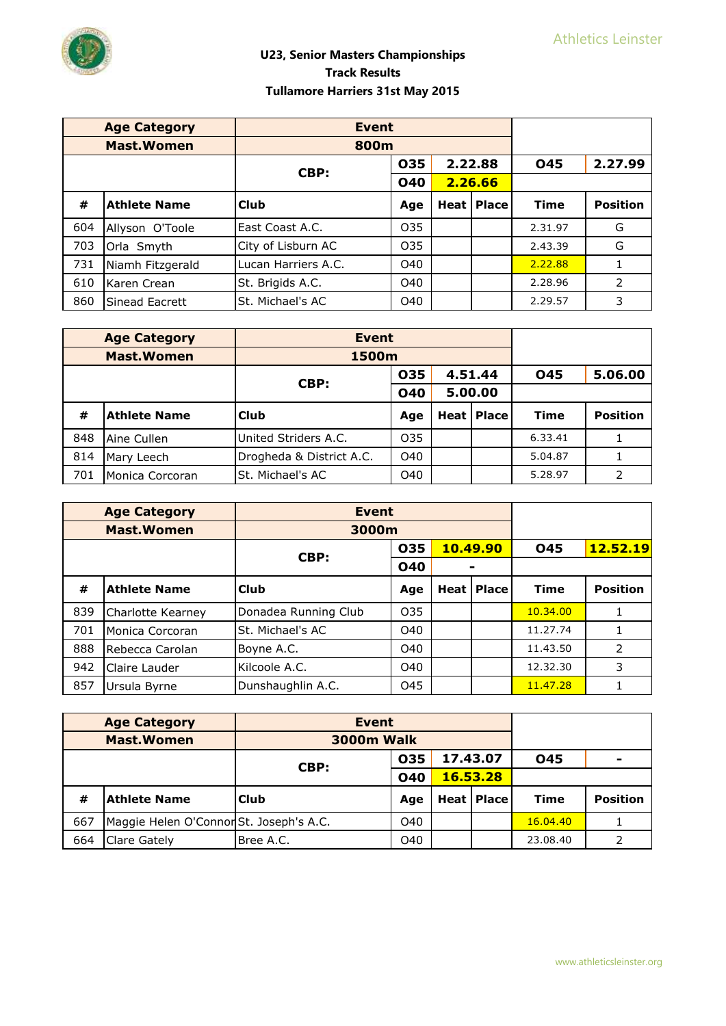

|     | <b>Age Category</b> | <b>Event</b>        |                 |         |              |             |                 |
|-----|---------------------|---------------------|-----------------|---------|--------------|-------------|-----------------|
|     | <b>Mast.Women</b>   | 800m                |                 |         |              |             |                 |
|     |                     | CBP:                | 035             |         | 2.22.88      | 045         | 2.27.99         |
|     |                     |                     | <b>040</b>      | 2.26.66 |              |             |                 |
| #   | <b>Athlete Name</b> | l Club              | Age             |         | Heat   Place | <b>Time</b> | <b>Position</b> |
| 604 | Allyson O'Toole     | East Coast A.C.     | 035             |         |              | 2.31.97     | G               |
| 703 | Orla Smyth          | City of Lisburn AC  | O <sub>35</sub> |         |              | 2.43.39     | G               |
| 731 | Niamh Fitzgerald    | Lucan Harriers A.C. | O40             |         |              | 2.22.88     |                 |
| 610 | Karen Crean         | St. Brigids A.C.    | O40             |         |              | 2.28.96     | 2               |
| 860 | Sinead Eacrett      | St. Michael's AC    | O40             |         |              | 2.29.57     | 3               |

| <b>Age Category</b><br><b>Event</b> |                     |                          |                 |         |                   |             |                 |
|-------------------------------------|---------------------|--------------------------|-----------------|---------|-------------------|-------------|-----------------|
|                                     | <b>Mast.Women</b>   | 1500m                    |                 |         |                   |             |                 |
|                                     | 4.51.44<br>035      |                          | 045             | 5.06.00 |                   |             |                 |
|                                     |                     | CBP:                     | <b>040</b>      | 5.00.00 |                   |             |                 |
| #                                   | <b>Athlete Name</b> | <b>Club</b>              | Age             |         | <b>Heat Place</b> | <b>Time</b> | <b>Position</b> |
| 848                                 | Aine Cullen         | United Striders A.C.     | O <sub>35</sub> |         |                   | 6.33.41     |                 |
| 814                                 | Mary Leech          | Drogheda & District A.C. | O40             |         |                   | 5.04.87     |                 |
| 701                                 | Monica Corcoran     | St. Michael's AC         | O40             |         |                   | 5.28.97     |                 |

|     | <b>Age Category</b> | <b>Event</b>         |            |        |              |            |                 |
|-----|---------------------|----------------------|------------|--------|--------------|------------|-----------------|
|     | <b>Mast. Women</b>  | 3000m                |            |        |              |            |                 |
|     |                     |                      | 035        |        | 10.49.90     | <b>045</b> | 12.52.19        |
|     |                     | CBP:                 | <b>040</b> |        |              |            |                 |
| #   | <b>Athlete Name</b> | l Club               | Age        | Heat l | <b>Place</b> | Time       | <b>Position</b> |
| 839 | Charlotte Kearney   | Donadea Running Club | 035        |        |              | 10.34.00   |                 |
| 701 | Monica Corcoran     | St. Michael's AC     | O40        |        |              | 11.27.74   |                 |
| 888 | Rebecca Carolan     | Boyne A.C.           | O40        |        |              | 11.43.50   | 2               |
| 942 | Claire Lauder       | Kilcoole A.C.        | O40        |        |              | 12.32.30   | 3               |
| 857 | Ursula Byrne        | Dunshaughlin A.C.    | O45        |        |              | 11.47.28   |                 |

|                    | <b>Age Category</b>                     | <b>Event</b>       |     |          |                   |             |                          |
|--------------------|-----------------------------------------|--------------------|-----|----------|-------------------|-------------|--------------------------|
| <b>Mast. Women</b> |                                         | <b>3000m Walk</b>  |     |          |                   |             |                          |
|                    |                                         | 035                |     | 17.43.07 |                   | <b>O45</b>  | $\overline{\phantom{0}}$ |
|                    |                                         | CBP:<br><b>040</b> |     | 16.53.28 |                   |             |                          |
| #                  | <b>Athlete Name</b>                     | <b>Club</b>        | Age |          | <b>Heat Place</b> | <b>Time</b> | <b>Position</b>          |
| 667                | Maggie Helen O'Connor St. Joseph's A.C. |                    | O40 |          |                   | 16.04.40    |                          |
| 664                | <b>Clare Gately</b>                     | Bree A.C.          | O40 |          |                   | 23.08.40    | 2                        |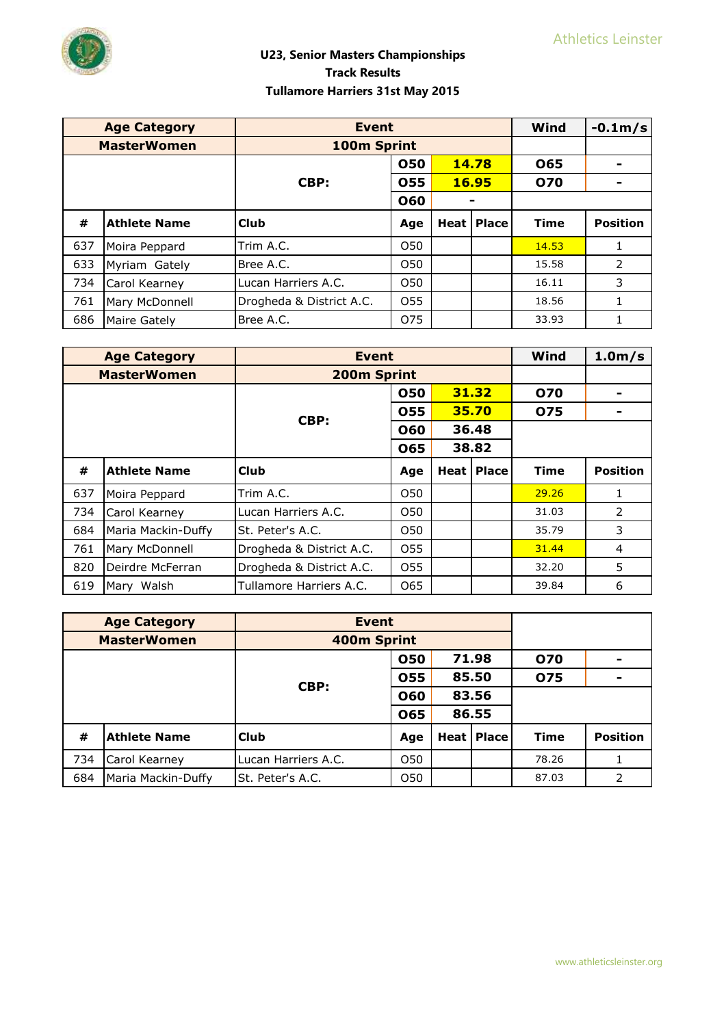

|     | <b>Age Category</b> | <b>Event</b>             | Wind            | $-0.1m/s$ |                       |             |                          |
|-----|---------------------|--------------------------|-----------------|-----------|-----------------------|-------------|--------------------------|
|     | <b>MasterWomen</b>  | 100m Sprint              |                 |           |                       |             |                          |
|     |                     |                          | 050             |           | 14.78                 | <b>O65</b>  | $\overline{\phantom{a}}$ |
|     |                     | CBP:                     | 055             | 16.95     |                       | 070         | ۰                        |
|     |                     |                          | 060             |           |                       |             |                          |
| #   | <b>Athlete Name</b> | <b>Club</b>              | Age             |           | <b>Heat   Place  </b> | <b>Time</b> | <b>Position</b>          |
| 637 | Moira Peppard       | Trim A.C.                | O <sub>50</sub> |           |                       | 14.53       |                          |
| 633 | Myriam Gately       | Bree A.C.                | O50             |           |                       | 15.58       | 2                        |
| 734 | Carol Kearney       | Lucan Harriers A.C.      | O <sub>50</sub> |           |                       | 16.11       | 3                        |
| 761 | Mary McDonnell      | Drogheda & District A.C. | O <sub>55</sub> |           |                       | 18.56       | 1                        |
| 686 | Maire Gately        | Bree A.C.                | 075             |           |                       | 33.93       |                          |

|     | <b>Age Category</b> | <b>Event</b>             | Wind            | $1.0m$ /s |                       |             |                 |
|-----|---------------------|--------------------------|-----------------|-----------|-----------------------|-------------|-----------------|
|     | <b>MasterWomen</b>  | 200m Sprint              |                 |           |                       |             |                 |
|     |                     |                          | 050             | 31.32     |                       | 070         |                 |
|     |                     |                          | 055             | 35.70     |                       | 075         |                 |
|     |                     | CBP:                     | 060             | 36.48     |                       |             |                 |
|     |                     |                          | 065             |           | 38.82                 |             |                 |
| #   | <b>Athlete Name</b> | Club                     | Age             |           | <b>Heat   Place  </b> | <b>Time</b> | <b>Position</b> |
| 637 | Moira Peppard       | Trim A.C.                | O <sub>50</sub> |           |                       | 29.26       | 1               |
| 734 | Carol Kearney       | Lucan Harriers A.C.      | O <sub>50</sub> |           |                       | 31.03       | 2               |
| 684 | Maria Mackin-Duffy  | St. Peter's A.C.         | O <sub>50</sub> |           |                       | 35.79       | 3               |
| 761 | Mary McDonnell      | Drogheda & District A.C. | O <sub>55</sub> |           |                       | 31.44       | 4               |
| 820 | Deirdre McFerran    | Drogheda & District A.C. | O <sub>55</sub> |           |                       | 32.20       | 5               |
| 619 | Mary Walsh          | Tullamore Harriers A.C.  | 065             |           |                       | 39.84       | 6               |

|     | <b>Age Category</b> | Event               |                 |       |                   |             |                 |
|-----|---------------------|---------------------|-----------------|-------|-------------------|-------------|-----------------|
|     | <b>MasterWomen</b>  | 400m Sprint         |                 |       |                   |             |                 |
|     |                     | CBP:                | 050             | 71.98 |                   | 070         | $\blacksquare$  |
|     |                     |                     | 055             | 85.50 |                   | 075         | $\blacksquare$  |
|     |                     |                     | 060             | 83.56 |                   |             |                 |
|     |                     |                     | 065             |       | 86.55             |             |                 |
| #   | <b>Athlete Name</b> | <b>Club</b>         | Age             |       | <b>Heat Place</b> | <b>Time</b> | <b>Position</b> |
| 734 | Carol Kearney       | Lucan Harriers A.C. | O50             |       |                   | 78.26       |                 |
| 684 | Maria Mackin-Duffy  | St. Peter's A.C.    | O <sub>50</sub> |       |                   | 87.03       | 2               |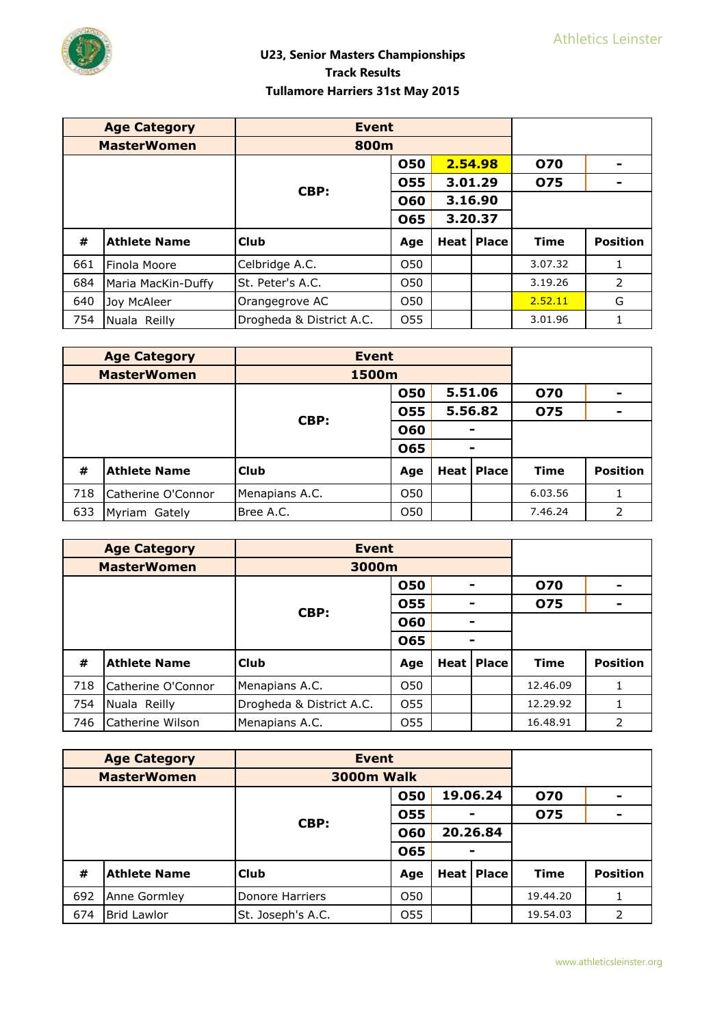

|     | <b>Age Category</b> | <b>Event</b>             |                 |         |                     |             |                 |
|-----|---------------------|--------------------------|-----------------|---------|---------------------|-------------|-----------------|
|     | <b>MasterWomen</b>  | 800m                     |                 |         |                     |             |                 |
|     |                     |                          | 050             | 2.54.98 |                     | 070         |                 |
|     |                     | CBP:                     | 055             | 3.01.29 |                     | 075         |                 |
|     |                     |                          | 060             | 3.16.90 |                     |             |                 |
|     |                     |                          | 065             | 3.20.37 |                     |             |                 |
| #   | <b>Athlete Name</b> | <b>Club</b>              | Age             |         | <b>Heat   Place</b> | <b>Time</b> | <b>Position</b> |
| 661 | Finola Moore        | Celbridge A.C.           | O <sub>50</sub> |         |                     | 3.07.32     | 1               |
| 684 | Maria MacKin-Duffy  | St. Peter's A.C.         | O <sub>50</sub> |         |                     | 3.19.26     | 2               |
| 640 | Joy McAleer         | Orangegrove AC           | O <sub>50</sub> |         |                     | 2.52.11     | G               |
| 754 | Nuala Reilly        | Drogheda & District A.C. | 055             |         |                     | 3.01.96     |                 |

|     | <b>Age Category</b><br><b>Event</b> |                |                 |              |         |             |                          |
|-----|-------------------------------------|----------------|-----------------|--------------|---------|-------------|--------------------------|
|     | <b>MasterWomen</b><br>1500m         |                |                 |              |         |             |                          |
|     |                                     |                | <b>050</b>      |              | 5.51.06 | <b>070</b>  | $\overline{\phantom{0}}$ |
|     |                                     | CBP:           | 055             | 5.56.82      |         | <b>075</b>  | $\blacksquare$           |
|     |                                     |                | 060             |              |         |             |                          |
|     |                                     |                | 065             |              |         |             |                          |
| #   | <b>Athlete Name</b>                 | <b>Club</b>    | Age             | Heat   Place |         | <b>Time</b> | <b>Position</b>          |
| 718 | Catherine O'Connor                  | Menapians A.C. | O <sub>50</sub> |              |         | 6.03.56     |                          |
| 633 | Myriam Gately                       | Bree A.C.      | O <sub>50</sub> |              |         | 7.46.24     | 2                        |

|     | <b>Age Category</b> | <b>Event</b>             |                 |  |                   |             |                 |
|-----|---------------------|--------------------------|-----------------|--|-------------------|-------------|-----------------|
|     | <b>MasterWomen</b>  | 3000m                    |                 |  |                   |             |                 |
|     |                     |                          | 050             |  |                   | <b>070</b>  |                 |
|     |                     | CBP:                     | 055             |  |                   | 075         |                 |
|     |                     |                          | 060             |  |                   |             |                 |
|     |                     | 065                      |                 |  |                   |             |                 |
| #   | <b>Athlete Name</b> | <b>Club</b>              | Age             |  | <b>Heat Place</b> | <b>Time</b> | <b>Position</b> |
| 718 | Catherine O'Connor  | Menapians A.C.           | O <sub>50</sub> |  |                   | 12.46.09    |                 |
| 754 | Nuala Reilly        | Drogheda & District A.C. | 055             |  |                   | 12.29.92    |                 |
| 746 | Catherine Wilson    | Menapians A.C.           | 055             |  |                   | 16.48.91    | 2               |

|     | <b>Age Category</b><br><b>Event</b> |                   |                 |          |              |             |                          |
|-----|-------------------------------------|-------------------|-----------------|----------|--------------|-------------|--------------------------|
|     | <b>MasterWomen</b>                  | <b>3000m Walk</b> |                 |          |              |             |                          |
|     |                                     | CBP:              | 050             |          | 19.06.24     | <b>070</b>  |                          |
|     |                                     |                   | 055             |          |              | 075         | $\overline{\phantom{0}}$ |
|     |                                     |                   | 060             | 20.26.84 |              |             |                          |
|     |                                     |                   | 065             |          |              |             |                          |
| #   | <b>Athlete Name</b>                 | <b>Club</b>       | Age             |          | Heat   Place | <b>Time</b> | <b>Position</b>          |
| 692 | Anne Gormley                        | Donore Harriers   | O <sub>50</sub> |          |              | 19.44.20    |                          |
| 674 | <b>Brid Lawlor</b>                  | St. Joseph's A.C. | 055             |          |              | 19.54.03    | 2                        |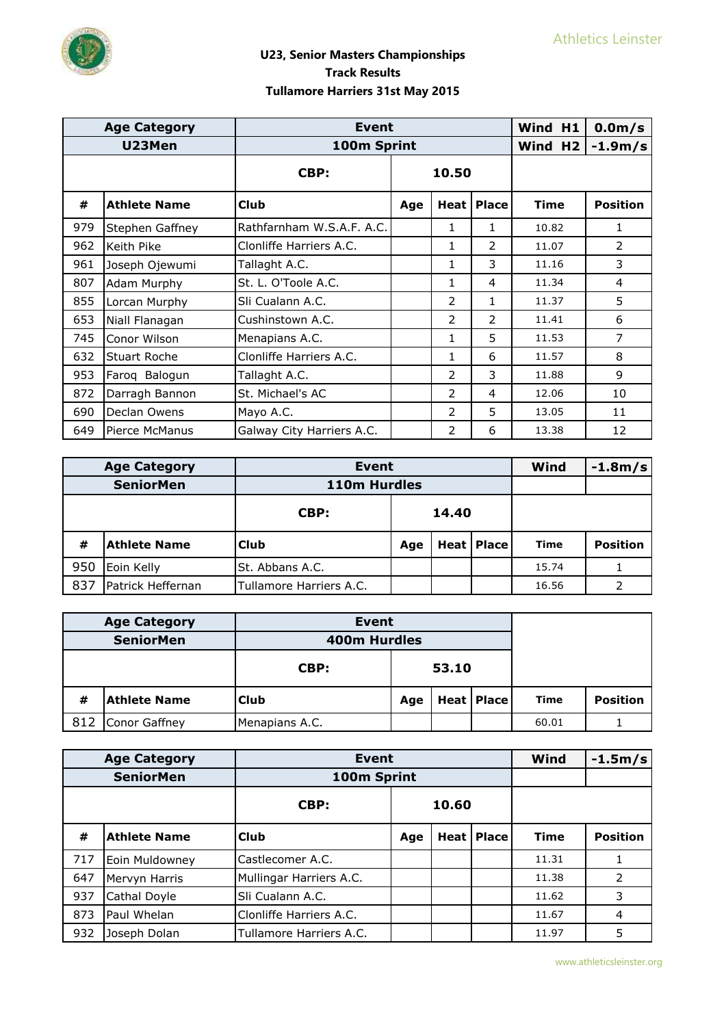

|     | <b>Age Category</b> | <b>Event</b>              |       |                |               | Wind H1 | 0.0 <sub>m</sub> /s |
|-----|---------------------|---------------------------|-------|----------------|---------------|---------|---------------------|
|     | U23Men              | 100m Sprint               |       |                |               | Wind H2 | $-1.9m/s$           |
|     |                     | CBP:                      | 10.50 |                |               |         |                     |
| #   | <b>Athlete Name</b> | <b>Club</b>               | Age   | Heat l         | <b>Place</b>  | Time    | <b>Position</b>     |
| 979 | Stephen Gaffney     | Rathfarnham W.S.A.F. A.C. |       | 1              | 1             | 10.82   | 1                   |
| 962 | Keith Pike          | Clonliffe Harriers A.C.   |       | 1              | $\mathcal{P}$ | 11.07   | $\mathcal{P}$       |
| 961 | Joseph Ojewumi      | Tallaght A.C.             |       | 1              | 3             | 11.16   | 3                   |
| 807 | Adam Murphy         | St. L. O'Toole A.C.       |       | 1              | 4             | 11.34   | 4                   |
| 855 | Lorcan Murphy       | Sli Cualann A.C.          |       | 2              | 1             | 11.37   | 5                   |
| 653 | Niall Flanagan      | Cushinstown A.C.          |       | 2              | $\mathcal{P}$ | 11.41   | 6                   |
| 745 | Conor Wilson        | Menapians A.C.            |       | 1              | 5             | 11.53   | 7                   |
| 632 | <b>Stuart Roche</b> | Clonliffe Harriers A.C.   |       | 1              | 6             | 11.57   | 8                   |
| 953 | Faroq Balogun       | Tallaght A.C.             |       | $\overline{2}$ | 3             | 11.88   | $\mathsf{q}$        |
| 872 | Darragh Bannon      | St. Michael's AC          |       | 2              | 4             | 12.06   | 10                  |
| 690 | Declan Owens        | Mayo A.C.                 |       | 2              | 5             | 13.05   | 11                  |
| 649 | Pierce McManus      | Galway City Harriers A.C. |       | 2              | 6             | 13.38   | 12                  |

|     | <b>Age Category</b> | <b>Event</b>            |       |  |                   | Wind        | $-1.8m/s$       |
|-----|---------------------|-------------------------|-------|--|-------------------|-------------|-----------------|
|     | <b>SeniorMen</b>    | 110m Hurdles            |       |  |                   |             |                 |
|     |                     | CBP:                    | 14.40 |  |                   |             |                 |
| #   | <b>Athlete Name</b> | <b>Club</b>             | Age   |  | <b>Heat Place</b> | <b>Time</b> | <b>Position</b> |
| 950 | Eoin Kelly          | St. Abbans A.C.         |       |  |                   | 15.74       |                 |
| 837 | Patrick Heffernan   | Tullamore Harriers A.C. |       |  |                   | 16.56       |                 |

| <b>Age Category</b> |                     | Event          |                       |  |  |       |                 |
|---------------------|---------------------|----------------|-----------------------|--|--|-------|-----------------|
|                     | <b>SeniorMen</b>    | 400m Hurdles   |                       |  |  |       |                 |
|                     |                     | CBP:           | 53.10                 |  |  |       |                 |
| #                   | <b>Athlete Name</b> | <b>Club</b>    | Heat   Place  <br>Age |  |  | Time  | <b>Position</b> |
| 812                 | Conor Gaffney       | Menapians A.C. |                       |  |  | 60.01 |                 |

|     | <b>Age Category</b> | <b>Event</b>            |       |  |              | Wind        | $-1.5m/s$       |
|-----|---------------------|-------------------------|-------|--|--------------|-------------|-----------------|
|     | <b>SeniorMen</b>    | 100m Sprint             |       |  |              |             |                 |
|     |                     | CBP:                    | 10.60 |  |              |             |                 |
| #   | <b>Athlete Name</b> | Club                    | Age   |  | Heat   Place | <b>Time</b> | <b>Position</b> |
| 717 | Eoin Muldowney      | Castlecomer A.C.        |       |  |              | 11.31       |                 |
| 647 | Mervyn Harris       | Mullingar Harriers A.C. |       |  |              | 11.38       | 2               |
| 937 | Cathal Doyle        | Sli Cualann A.C.        |       |  |              | 11.62       | 3               |
| 873 | Paul Whelan         | Clonliffe Harriers A.C. |       |  |              | 11.67       | $\overline{4}$  |
| 932 | Joseph Dolan        | Tullamore Harriers A.C. |       |  |              | 11.97       | 5               |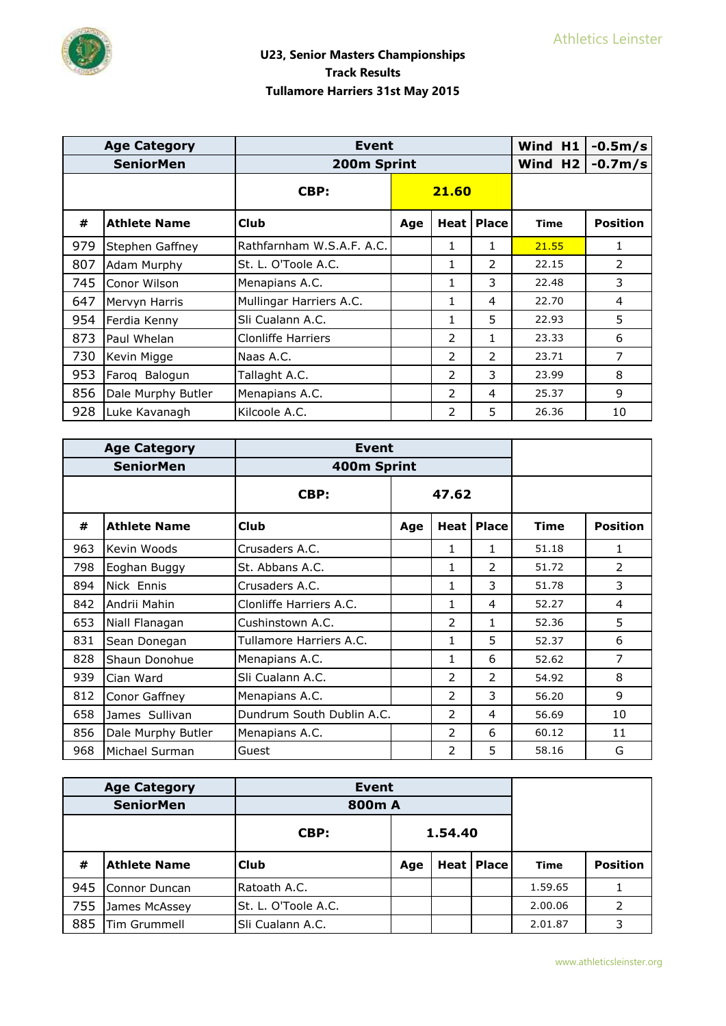|     | <b>Age Category</b> | Event                     |     |               |                | Wind H1             | $-0.5m/s$       |
|-----|---------------------|---------------------------|-----|---------------|----------------|---------------------|-----------------|
|     | <b>SeniorMen</b>    | 200m Sprint               |     |               |                | Wind H <sub>2</sub> | $-0.7m/s$       |
|     |                     | CBP:                      |     | 21.60         |                |                     |                 |
| #   | <b>Athlete Name</b> | <b>Club</b>               | Age | Heat l        | <b>Place</b>   | <b>Time</b>         | <b>Position</b> |
| 979 | Stephen Gaffney     | Rathfarnham W.S.A.F. A.C. |     | 1             | 1              | 21.55               | $\mathbf{1}$    |
| 807 | Adam Murphy         | St. L. O'Toole A.C.       |     | 1             | 2              | 22.15               | 2               |
| 745 | Conor Wilson        | Menapians A.C.            |     | 1             | 3              | 22.48               | 3               |
| 647 | Mervyn Harris       | Mullingar Harriers A.C.   |     | 1             | 4              | 22.70               | 4               |
| 954 | Ferdia Kenny        | Sli Cualann A.C.          |     | 1             | 5              | 22.93               | 5               |
| 873 | Paul Whelan         | Clonliffe Harriers        |     | 2             | 1              | 23.33               | 6               |
| 730 | Kevin Migge         | Naas A.C.                 |     | 2             | $\overline{2}$ | 23.71               | 7               |
| 953 | Faroq Balogun       | Tallaght A.C.             |     | $\mathcal{P}$ | 3              | 23.99               | 8               |
| 856 | Dale Murphy Butler  | Menapians A.C.            |     | 2             | 4              | 25.37               | 9               |
| 928 | Luke Kavanagh       | Kilcoole A.C.             |     | 2             | 5              | 26.36               | 10              |

| <b>Age Category</b><br><b>Event</b> |                     |                           |       |              |                     |             |                 |
|-------------------------------------|---------------------|---------------------------|-------|--------------|---------------------|-------------|-----------------|
|                                     | <b>SeniorMen</b>    | 400m Sprint               |       |              |                     |             |                 |
|                                     |                     | CBP:                      | 47.62 |              |                     |             |                 |
| #                                   | <b>Athlete Name</b> | <b>Club</b>               | Age   |              | <b>Heat   Place</b> | <b>Time</b> | <b>Position</b> |
| 963                                 | Kevin Woods         | Crusaders A.C.            |       | 1            | 1                   | 51.18       | 1               |
| 798                                 | Eoghan Buggy        | St. Abbans A.C.           |       | $\mathbf{1}$ | 2                   | 51.72       | 2               |
| 894                                 | Nick Ennis          | Crusaders A.C.            |       | 1            | 3                   | 51.78       | 3               |
| 842                                 | Andrii Mahin        | Clonliffe Harriers A.C.   |       | 1            | 4                   | 52.27       | 4               |
| 653                                 | Niall Flanagan      | Cushinstown A.C.          |       | 2            | 1                   | 52.36       | 5               |
| 831                                 | Sean Donegan        | Tullamore Harriers A.C.   |       | 1            | 5                   | 52.37       | 6               |
| 828                                 | Shaun Donohue       | Menapians A.C.            |       | 1            | 6                   | 52.62       | 7               |
| 939                                 | Cian Ward           | Sli Cualann A.C.          |       | 2            | 2                   | 54.92       | 8               |
| 812                                 | Conor Gaffney       | Menapians A.C.            |       | 2            | 3                   | 56.20       | 9               |
| 658                                 | James Sullivan      | Dundrum South Dublin A.C. |       | 2            | $\overline{4}$      | 56.69       | 10              |
| 856                                 | Dale Murphy Butler  | Menapians A.C.            |       | 2            | 6                   | 60.12       | 11              |
| 968                                 | Michael Surman      | Guest                     |       | 2            | 5                   | 58.16       | G               |

|     | <b>Age Category</b> | <b>Event</b>        |         |  |                   |             |                 |
|-----|---------------------|---------------------|---------|--|-------------------|-------------|-----------------|
|     | <b>SeniorMen</b>    | 800m A              |         |  |                   |             |                 |
|     |                     | CBP:                | 1.54.40 |  |                   |             |                 |
| #   | <b>Athlete Name</b> | <b>Club</b>         | Age     |  | <b>Heat Place</b> | <b>Time</b> | <b>Position</b> |
| 945 | Connor Duncan       | Ratoath A.C.        |         |  |                   | 1.59.65     |                 |
| 755 | James McAssey       | St. L. O'Toole A.C. |         |  |                   | 2.00.06     | 2               |
| 885 | Tim Grummell        | Sli Cualann A.C.    |         |  |                   | 2.01.87     | 3               |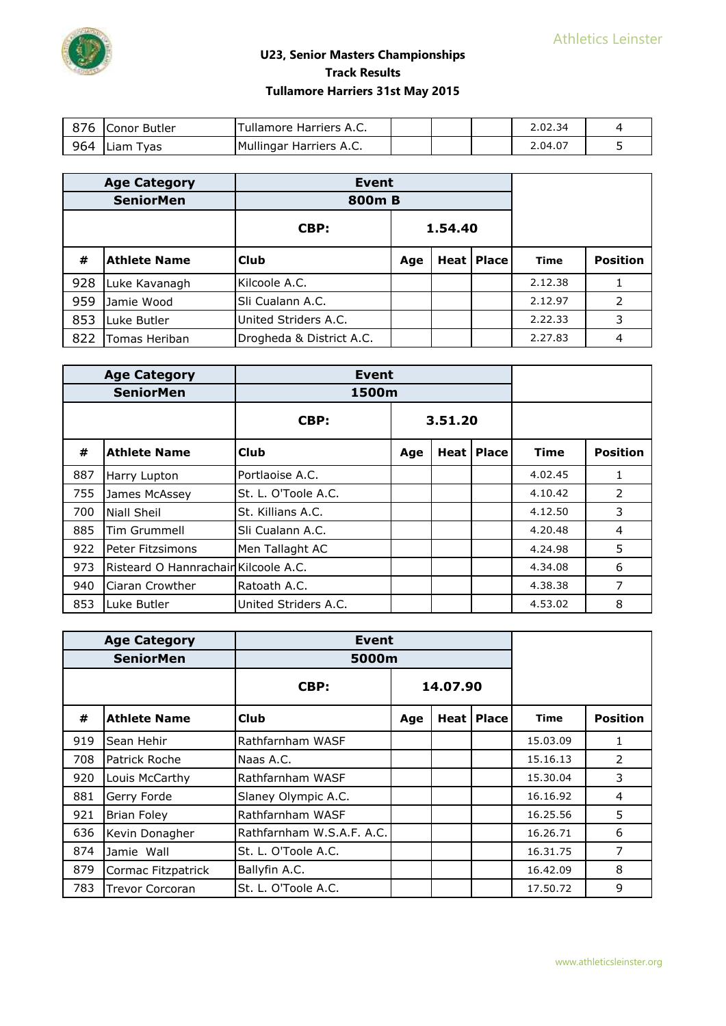

| 876 | - Conor Butler ر | Tullamore Harriers A.C. |  | 2.02.34 |  |
|-----|------------------|-------------------------|--|---------|--|
| 964 | Liam Tvas        | Mullingar Harriers A.C. |  | 2.04.07 |  |

|     | <b>Age Category</b> | <b>Event</b>             |         |  |                   |             |                 |
|-----|---------------------|--------------------------|---------|--|-------------------|-------------|-----------------|
|     | <b>SeniorMen</b>    | 800m B                   |         |  |                   |             |                 |
|     |                     | CBP:                     | 1.54.40 |  |                   |             |                 |
| #   | <b>Athlete Name</b> | <b>Club</b>              | Age     |  | <b>Heat Place</b> | <b>Time</b> | <b>Position</b> |
| 928 | Luke Kavanagh       | Kilcoole A.C.            |         |  |                   | 2.12.38     |                 |
| 959 | Jamie Wood          | Sli Cualann A.C.         |         |  |                   | 2.12.97     | 2               |
| 853 | Luke Butler         | United Striders A.C.     |         |  |                   | 2.22.33     | 3               |
| 822 | Tomas Heriban       | Drogheda & District A.C. |         |  |                   | 2.27.83     | 4               |

|     | <b>Age Category</b>                  | <b>Event</b>         |         |  |                     |             |                 |
|-----|--------------------------------------|----------------------|---------|--|---------------------|-------------|-----------------|
|     | <b>SeniorMen</b>                     | 1500m                |         |  |                     |             |                 |
|     |                                      | CBP:                 | 3.51.20 |  |                     |             |                 |
| #   | <b>Athlete Name</b>                  | <b>Club</b>          | Age     |  | <b>Heat   Place</b> | <b>Time</b> | <b>Position</b> |
| 887 | Harry Lupton                         | Portlaoise A.C.      |         |  |                     | 4.02.45     |                 |
| 755 | James McAssey                        | St. L. O'Toole A.C.  |         |  |                     | 4.10.42     | 2               |
| 700 | Niall Sheil                          | St. Killians A.C.    |         |  |                     | 4.12.50     | 3               |
| 885 | Tim Grummell                         | Sli Cualann A.C.     |         |  |                     | 4.20.48     | 4               |
| 922 | Peter Fitzsimons                     | Men Tallaght AC      |         |  |                     | 4.24.98     | 5               |
| 973 | Risteard O Hannrachain Kilcoole A.C. |                      |         |  |                     | 4.34.08     | 6               |
| 940 | Ciaran Crowther                      | Ratoath A.C.         |         |  |                     | 4.38.38     | 7               |
| 853 | Luke Butler                          | United Striders A.C. |         |  |                     | 4.53.02     | 8               |

| <b>Age Category</b> |                        |                           | Event    |  |              |             |                 |
|---------------------|------------------------|---------------------------|----------|--|--------------|-------------|-----------------|
|                     | <b>SeniorMen</b>       | 5000m                     |          |  |              |             |                 |
|                     |                        | CBP:                      | 14.07.90 |  |              |             |                 |
| #                   | <b>Athlete Name</b>    | Club                      | Age      |  | Heat   Place | <b>Time</b> | <b>Position</b> |
| 919                 | Sean Hehir             | Rathfarnham WASF          |          |  |              | 15.03.09    | $\mathbf{1}$    |
| 708                 | Patrick Roche          | Naas A.C.                 |          |  |              | 15.16.13    | $\overline{2}$  |
| 920                 | Louis McCarthy         | Rathfarnham WASF          |          |  |              | 15.30.04    | 3               |
| 881                 | Gerry Forde            | Slaney Olympic A.C.       |          |  |              | 16.16.92    | 4               |
| 921                 | <b>Brian Foley</b>     | Rathfarnham WASF          |          |  |              | 16.25.56    | 5               |
| 636                 | Kevin Donagher         | Rathfarnham W.S.A.F. A.C. |          |  |              | 16.26.71    | 6               |
| 874                 | Jamie Wall             | St. L. O'Toole A.C.       |          |  |              | 16.31.75    | 7               |
| 879                 | Cormac Fitzpatrick     | Ballyfin A.C.             |          |  |              | 16.42.09    | 8               |
| 783                 | <b>Trevor Corcoran</b> | St. L. O'Toole A.C.       |          |  |              | 17.50.72    | 9               |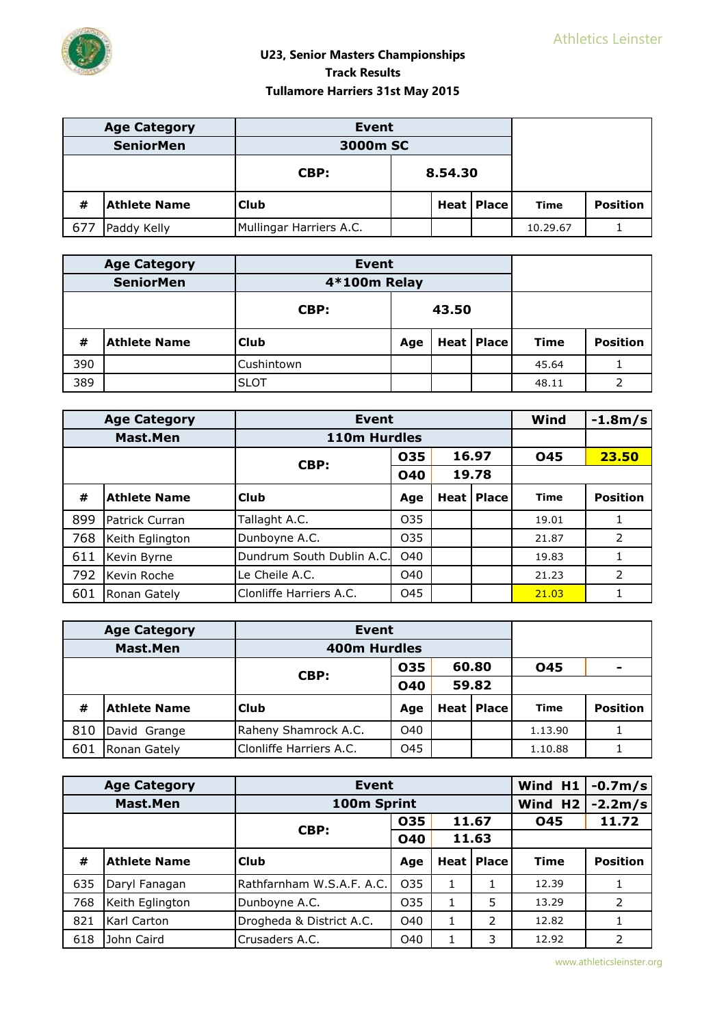

|     | <b>Age Category</b> | <b>Event</b>            |         |  |              |          |                 |
|-----|---------------------|-------------------------|---------|--|--------------|----------|-----------------|
|     | <b>SeniorMen</b>    | 3000m SC                |         |  |              |          |                 |
|     |                     | CBP:                    | 8.54.30 |  |              |          |                 |
| #   | <b>Athlete Name</b> | <b>Club</b>             |         |  | Heat   Place | Time     | <b>Position</b> |
| 677 | Paddy Kelly         | Mullingar Harriers A.C. |         |  |              | 10.29.67 |                 |

|     | <b>Age Category</b> | <b>Event</b> |       |  |                   |             |                 |
|-----|---------------------|--------------|-------|--|-------------------|-------------|-----------------|
|     | <b>SeniorMen</b>    | 4*100m Relay |       |  |                   |             |                 |
|     |                     | CBP:         | 43.50 |  |                   |             |                 |
| #   | <b>Athlete Name</b> | <b>Club</b>  | Age   |  | <b>Heat Place</b> | <b>Time</b> | <b>Position</b> |
| 390 |                     | Cushintown   |       |  |                   | 45.64       |                 |
| 389 |                     | <b>SLOT</b>  |       |  |                   | 48.11       | h               |

|     | <b>Age Category</b> | <b>Event</b>              |                 |       |                     | Wind        | $-1.8m/s$       |
|-----|---------------------|---------------------------|-----------------|-------|---------------------|-------------|-----------------|
|     | Mast.Men            | 110m Hurdles              |                 |       |                     |             |                 |
|     |                     | CBP:                      | 035             |       | 16.97               | 045         | 23.50           |
|     |                     |                           | <b>040</b>      | 19.78 |                     |             |                 |
| #   | <b>Athlete Name</b> | l Club                    | Age             |       | <b>Heat   Place</b> | <b>Time</b> | <b>Position</b> |
| 899 | Patrick Curran      | Tallaght A.C.             | O <sub>35</sub> |       |                     | 19.01       |                 |
| 768 | Keith Eglington     | Dunboyne A.C.             | O <sub>35</sub> |       |                     | 21.87       | 2               |
| 611 | Kevin Byrne         | Dundrum South Dublin A.C. | O40             |       |                     | 19.83       |                 |
| 792 | Kevin Roche         | Le Cheile A.C.            | O40             |       |                     | 21.23       | $\overline{2}$  |
| 601 | Ronan Gately        | Clonliffe Harriers A.C.   | O45             |       |                     | 21.03       |                 |

|     | <b>Age Category</b> | Event                   |     |       |              |            |                 |
|-----|---------------------|-------------------------|-----|-------|--------------|------------|-----------------|
|     | <b>Mast.Men</b>     | 400m Hurdles            |     |       |              |            |                 |
|     |                     | CBP:                    | 035 |       | 60.80        | <b>O45</b> |                 |
|     |                     | <b>040</b>              |     | 59.82 |              |            |                 |
| #   | <b>Athlete Name</b> | <b>Club</b>             | Age |       | Heat   Place | Time       | <b>Position</b> |
| 810 | David Grange        | Raheny Shamrock A.C.    | O40 |       |              | 1.13.90    |                 |
| 601 | Ronan Gately        | Clonliffe Harriers A.C. | O45 |       |              | 1.10.88    |                 |

|     | <b>Age Category</b> | <b>Event</b>              | Wind H1         | $-0.7m/s$ |                     |                     |                 |
|-----|---------------------|---------------------------|-----------------|-----------|---------------------|---------------------|-----------------|
|     | <b>Mast.Men</b>     | 100m Sprint               |                 |           |                     | Wind H <sub>2</sub> | $-2.2m/s$       |
|     |                     | CBP:                      | 035             | 11.67     |                     | 045                 | 11.72           |
|     |                     |                           | <b>040</b>      | 11.63     |                     |                     |                 |
| #   | <b>Athlete Name</b> | <b>Club</b>               | Age             |           | <b>Heat   Place</b> | <b>Time</b>         | <b>Position</b> |
| 635 | Daryl Fanagan       | Rathfarnham W.S.A.F. A.C. | O <sub>35</sub> | 1         | 1                   | 12.39               |                 |
| 768 | Keith Eglington     | Dunboyne A.C.             | O <sub>35</sub> | 1         | 5                   | 13.29               | 2               |
| 821 | Karl Carton         | Drogheda & District A.C.  | O40             | 1         | 2                   | 12.82               |                 |
| 618 | John Caird          | Crusaders A.C.            | O40             |           | 3                   | 12.92               | 2               |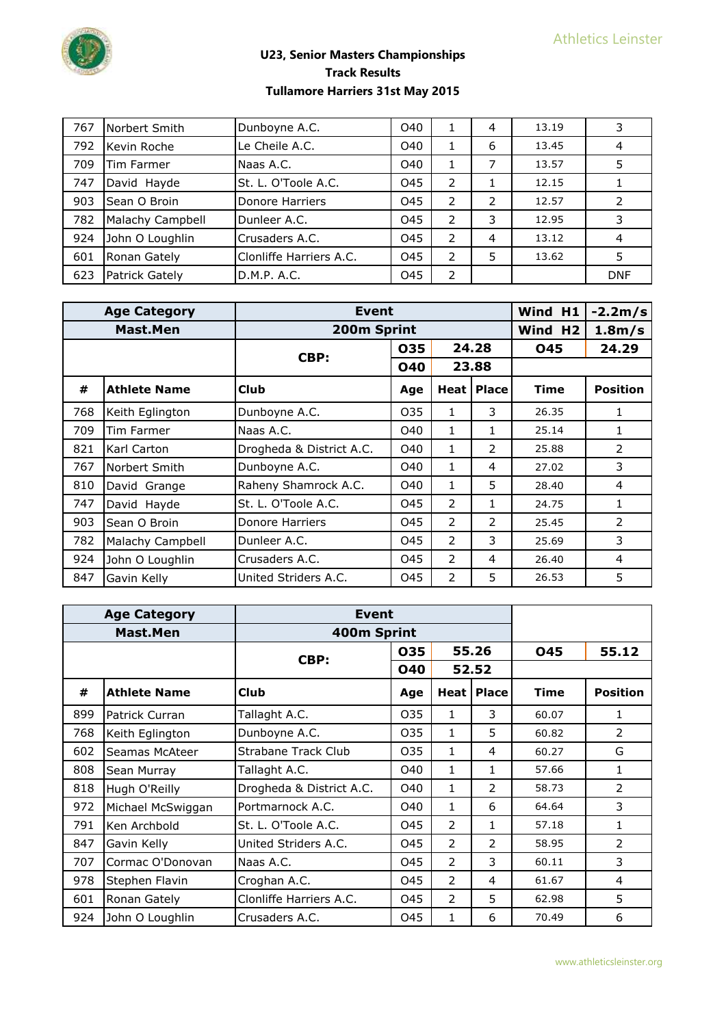

| 767 | Norbert Smith    | Dunboyne A.C.           | O40 |               | 4 | 13.19 | 3          |
|-----|------------------|-------------------------|-----|---------------|---|-------|------------|
| 792 | Kevin Roche      | Le Cheile A.C.          | O40 |               | 6 | 13.45 | 4          |
| 709 | Tim Farmer       | Naas A.C.               | O40 |               | 7 | 13.57 | 5          |
| 747 | David Hayde      | St. L. O'Toole A.C.     | O45 | 2             |   | 12.15 |            |
| 903 | Sean O Broin     | Donore Harriers         | O45 | 2             | 2 | 12.57 |            |
| 782 | Malachy Campbell | Dunleer A.C.            | O45 | 2             | 3 | 12.95 | 3          |
| 924 | John O Loughlin  | Crusaders A.C.          | O45 | $\mathcal{P}$ | 4 | 13.12 | 4          |
| 601 | Ronan Gately     | Clonliffe Harriers A.C. | O45 | 2             | 5 | 13.62 | 5          |
| 623 | Patrick Gately   | D.M.P. A.C.             | O45 | $\mathcal{P}$ |   |       | <b>DNF</b> |

|     | <b>Age Category</b> | <b>Event</b>             |            |                |              | Wind H1             | $-2.2m/s$       |
|-----|---------------------|--------------------------|------------|----------------|--------------|---------------------|-----------------|
|     | Mast.Men            | 200m Sprint              |            |                |              | Wind H <sub>2</sub> | $1.8m$ /s       |
|     |                     | CBP:                     | 035        |                | 24.28        | <b>045</b>          | 24.29           |
|     |                     |                          | <b>040</b> |                | 23.88        |                     |                 |
| #   | <b>Athlete Name</b> | <b>Club</b>              | Age        | Heat l         | <b>Place</b> | <b>Time</b>         | <b>Position</b> |
| 768 | Keith Eglington     | Dunboyne A.C.            | 035        | 1              | 3            | 26.35               | 1               |
| 709 | Tim Farmer          | Naas A.C.                | O40        | 1              | 1            | 25.14               | 1               |
| 821 | Karl Carton         | Drogheda & District A.C. | O40        | 1              | 2            | 25.88               | 2               |
| 767 | Norbert Smith       | Dunboyne A.C.            | O40        | 1              | 4            | 27.02               | 3               |
| 810 | David Grange        | Raheny Shamrock A.C.     | O40        | 1              | 5            | 28.40               | 4               |
| 747 | David Hayde         | St. L. O'Toole A.C.      | 045        | 2              | 1            | 24.75               | 1               |
| 903 | Sean O Broin        | Donore Harriers          | 045        | 2              | 2            | 25.45               | 2               |
| 782 | Malachy Campbell    | Dunleer A.C.             | 045        | 2              | 3            | 25.69               | 3               |
| 924 | John O Loughlin     | Crusaders A.C.           | 045        | $\overline{2}$ | 4            | 26.40               | 4               |
| 847 | Gavin Kelly         | United Striders A.C.     | 045        | 2              | 5            | 26.53               | 5               |

|     | <b>Age Category</b> | Event                    |            |                |                     |             |                 |
|-----|---------------------|--------------------------|------------|----------------|---------------------|-------------|-----------------|
|     | Mast.Men            | 400m Sprint              |            |                |                     |             |                 |
|     |                     | CBP:                     | 035        |                | 55.26               | 045         | 55.12           |
|     |                     |                          | <b>040</b> |                | 52.52               |             |                 |
| #   | <b>Athlete Name</b> | <b>Club</b>              | Age        |                | <b>Heat   Place</b> | <b>Time</b> | <b>Position</b> |
| 899 | Patrick Curran      | Tallaght A.C.            | 035        | 1              | 3                   | 60.07       | 1               |
| 768 | Keith Eglington     | Dunboyne A.C.            | 035        | 1              | 5                   | 60.82       | 2               |
| 602 | Seamas McAteer      | Strabane Track Club      | 035        | 1              | 4                   | 60.27       | G               |
| 808 | Sean Murray         | Tallaght A.C.            | O40        | 1              | 1                   | 57.66       | $\mathbf{1}$    |
| 818 | Hugh O'Reilly       | Drogheda & District A.C. | O40        | $\mathbf{1}$   | 2                   | 58.73       | $\mathcal{P}$   |
| 972 | Michael McSwiggan   | Portmarnock A.C.         | O40        | 1              | 6                   | 64.64       | 3               |
| 791 | Ken Archbold        | St. L. O'Toole A.C.      | 045        | $\overline{2}$ | 1                   | 57.18       | 1               |
| 847 | Gavin Kelly         | United Striders A.C.     | 045        | $\overline{2}$ | 2                   | 58.95       | 2               |
| 707 | Cormac O'Donovan    | Naas A.C.                | 045        | $\overline{2}$ | 3                   | 60.11       | 3               |
| 978 | Stephen Flavin      | Croghan A.C.             | 045        | 2              | 4                   | 61.67       | 4               |
| 601 | Ronan Gately        | Clonliffe Harriers A.C.  | 045        | 2              | 5                   | 62.98       | 5               |
| 924 | John O Loughlin     | Crusaders A.C.           | 045        | 1              | 6                   | 70.49       | 6               |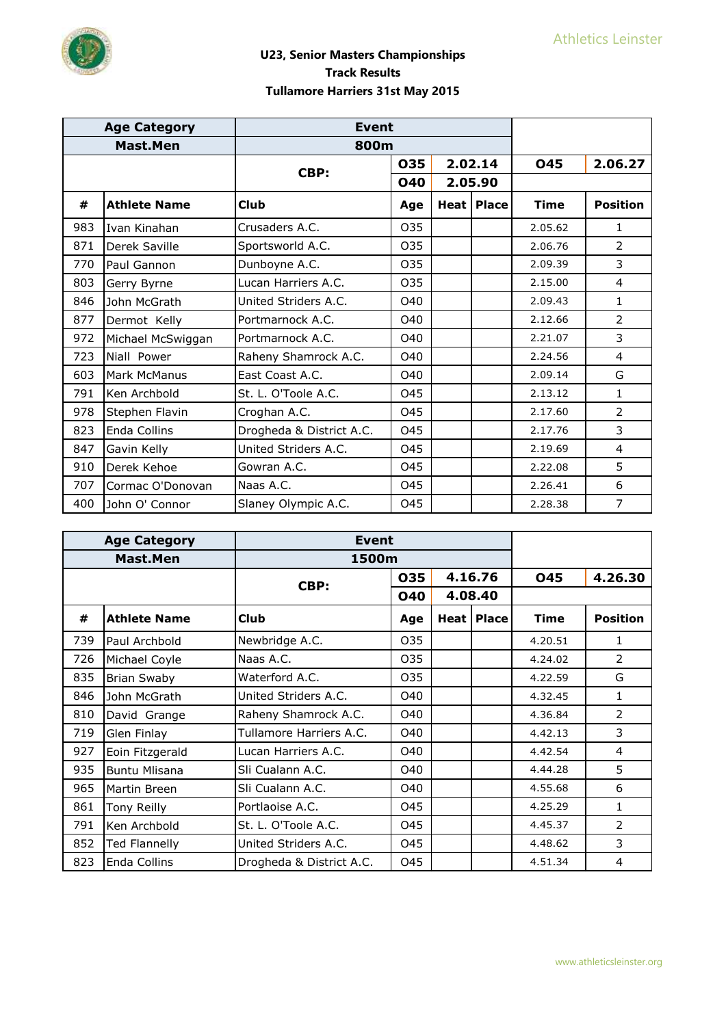

|     | <b>Age Category</b>  | <b>Event</b>             |                 |         |              |             |                 |
|-----|----------------------|--------------------------|-----------------|---------|--------------|-------------|-----------------|
|     | Mast.Men             | 800m                     |                 |         |              |             |                 |
|     |                      | CBP:                     | 035             | 2.02.14 |              | 045         | 2.06.27         |
|     |                      |                          | <b>040</b>      | 2.05.90 |              |             |                 |
| #   | <b>Athlete Name</b>  | Club                     | Age             |         | Heat   Place | <b>Time</b> | <b>Position</b> |
| 983 | IIvan Kinahan        | Crusaders A.C.           | 035             |         |              | 2.05.62     | $\mathbf{1}$    |
| 871 | Derek Saville        | Sportsworld A.C.         | O <sub>35</sub> |         |              | 2.06.76     | $\mathcal{P}$   |
| 770 | Paul Gannon          | Dunboyne A.C.            | 035             |         |              | 2.09.39     | 3               |
| 803 | Gerry Byrne          | Lucan Harriers A.C.      | O35             |         |              | 2.15.00     | $\overline{4}$  |
| 846 | John McGrath         | United Striders A.C.     | O40             |         |              | 2.09.43     | $\mathbf{1}$    |
| 877 | Dermot Kelly         | Portmarnock A.C.         | O40             |         |              | 2.12.66     | $\overline{2}$  |
| 972 | Michael McSwiggan    | Portmarnock A.C.         | O40             |         |              | 2.21.07     | 3               |
| 723 | Niall Power          | Raheny Shamrock A.C.     | O40             |         |              | 2.24.56     | $\overline{4}$  |
| 603 | Mark McManus         | East Coast A.C.          | O40             |         |              | 2.09.14     | G               |
| 791 | <b>IKen Archbold</b> | St. L. O'Toole A.C.      | 045             |         |              | 2.13.12     | 1               |
| 978 | Stephen Flavin       | Croghan A.C.             | 045             |         |              | 2.17.60     | $\overline{2}$  |
| 823 | Enda Collins         | Drogheda & District A.C. | <b>O45</b>      |         |              | 2.17.76     | 3               |
| 847 | Gavin Kelly          | United Striders A.C.     | <b>O45</b>      |         |              | 2.19.69     | $\overline{4}$  |
| 910 | Derek Kehoe          | Gowran A.C.              | 045             |         |              | 2.22.08     | 5               |
| 707 | Cormac O'Donovan     | Naas A.C.                | O <sub>45</sub> |         |              | 2.26.41     | 6               |
| 400 | John O' Connor       | Slaney Olympic A.C.      | 045             |         |              | 2.28.38     | $\overline{7}$  |

|     | <b>Age Category</b>  | <b>Event</b>             |       |  |                     |             |                 |
|-----|----------------------|--------------------------|-------|--|---------------------|-------------|-----------------|
|     | Mast.Men             |                          | 1500m |  |                     |             |                 |
|     |                      | CBP:                     | 035   |  | 4.16.76             | 045         | 4.26.30         |
|     |                      |                          | 040   |  | 4.08.40             |             |                 |
| #   | <b>Athlete Name</b>  | <b>Club</b>              | Age   |  | <b>Heat   Place</b> | <b>Time</b> | <b>Position</b> |
| 739 | Paul Archbold        | Newbridge A.C.           | 035   |  |                     | 4.20.51     | 1               |
| 726 | Michael Coyle        | Naas A.C.                | 035   |  |                     | 4.24.02     | 2               |
| 835 | <b>Brian Swaby</b>   | Waterford A.C.           | 035   |  |                     | 4.22.59     | G               |
| 846 | John McGrath         | United Striders A.C.     | O40   |  |                     | 4.32.45     | 1               |
| 810 | David Grange         | Raheny Shamrock A.C.     | O40   |  |                     | 4.36.84     | 2               |
| 719 | Glen Finlay          | Tullamore Harriers A.C.  | O40   |  |                     | 4.42.13     | 3               |
| 927 | Eoin Fitzgerald      | Lucan Harriers A.C.      | O40   |  |                     | 4.42.54     | 4               |
| 935 | <b>Buntu Mlisana</b> | Sli Cualann A.C.         | O40   |  |                     | 4.44.28     | 5               |
| 965 | Martin Breen         | Sli Cualann A.C.         | O40   |  |                     | 4.55.68     | 6               |
| 861 | Tony Reilly          | Portlaoise A.C.          | 045   |  |                     | 4.25.29     | 1               |
| 791 | Ken Archbold         | St. L. O'Toole A.C.      | 045   |  |                     | 4.45.37     | $\mathcal{P}$   |
| 852 | <b>Ted Flannelly</b> | United Striders A.C.     | 045   |  |                     | 4.48.62     | 3               |
| 823 | Enda Collins         | Drogheda & District A.C. | 045   |  |                     | 4.51.34     | 4               |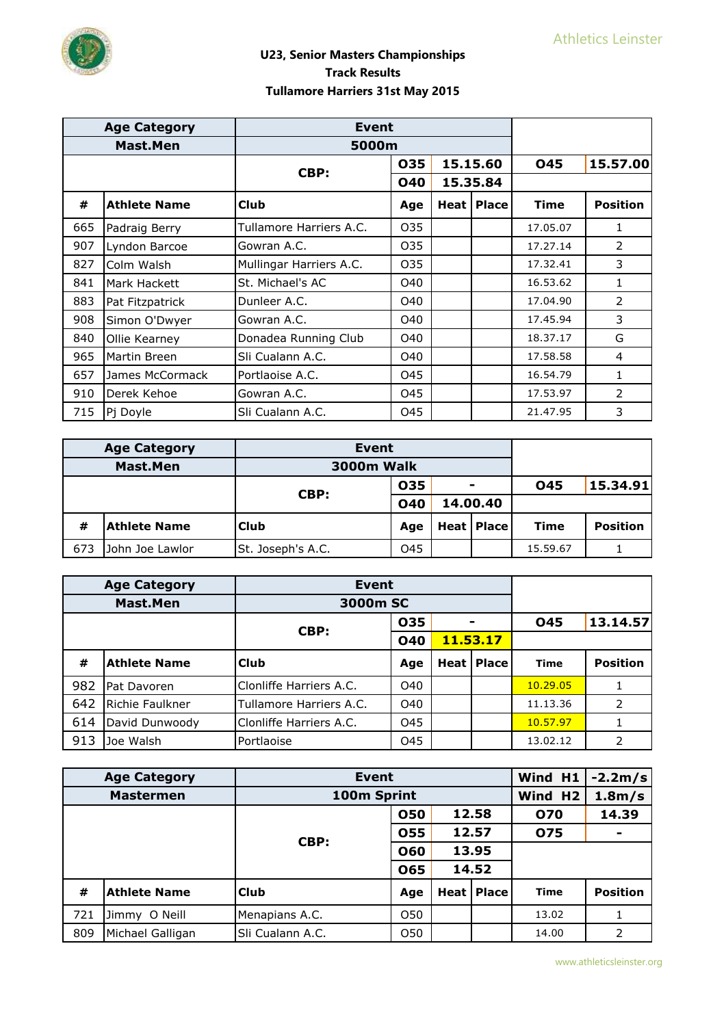

|     | <b>Age Category</b> | <b>Event</b>            |            |          |                     |             |                 |
|-----|---------------------|-------------------------|------------|----------|---------------------|-------------|-----------------|
|     | Mast.Men            | 5000m                   |            |          |                     |             |                 |
|     |                     |                         | 035        | 15.15.60 |                     | <b>045</b>  | 15.57.00        |
|     |                     | CBP:                    | <b>040</b> |          | 15.35.84            |             |                 |
| #   | <b>Athlete Name</b> | <b>Club</b>             | Age        |          | <b>Heat   Place</b> | <b>Time</b> | <b>Position</b> |
| 665 | Padraig Berry       | Tullamore Harriers A.C. | 035        |          |                     | 17.05.07    | 1               |
| 907 | Lyndon Barcoe       | Gowran A.C.             | 035        |          |                     | 17.27.14    | 2               |
| 827 | Colm Walsh          | Mullingar Harriers A.C. | 035        |          |                     | 17.32.41    | 3               |
| 841 | Mark Hackett        | St. Michael's AC        | O40        |          |                     | 16.53.62    | 1               |
| 883 | Pat Fitzpatrick     | Dunleer A.C.            | O40        |          |                     | 17.04.90    | 2               |
| 908 | Simon O'Dwyer       | Gowran A.C.             | O40        |          |                     | 17.45.94    | 3               |
| 840 | Ollie Kearney       | Donadea Running Club    | O40        |          |                     | 18.37.17    | G               |
| 965 | Martin Breen        | Sli Cualann A.C.        | O40        |          |                     | 17.58.58    | 4               |
| 657 | James McCormack     | Portlaoise A.C.         | 045        |          |                     | 16.54.79    | 1               |
| 910 | Derek Kehoe         | Gowran A.C.             | 045        |          |                     | 17.53.97    | $\mathcal{P}$   |
| 715 | Pj Doyle            | Sli Cualann A.C.        | 045        |          |                     | 21.47.95    | 3               |

|     | <b>Age Category</b> | <b>Event</b>      |     |          |                |             |                 |
|-----|---------------------|-------------------|-----|----------|----------------|-------------|-----------------|
|     | <b>Mast.Men</b>     | <b>3000m Walk</b> |     |          |                |             |                 |
|     |                     | CBP:              | 035 |          | $\blacksquare$ | 045         | 15.34.91        |
|     |                     | <b>040</b>        |     | 14.00.40 |                |             |                 |
| #   | <b>Athlete Name</b> | <b>Club</b>       | Age |          | Heat   Place   | <b>Time</b> | <b>Position</b> |
| 673 | John Joe Lawlor     | St. Joseph's A.C. | 045 |          |                | 15.59.67    |                 |

| <b>Age Category</b> |                     | <b>Event</b>            |            |  |                     |             |                 |
|---------------------|---------------------|-------------------------|------------|--|---------------------|-------------|-----------------|
| <b>Mast.Men</b>     |                     | 3000m SC                |            |  |                     |             |                 |
|                     |                     |                         | 035        |  |                     | 045         | 13.14.57        |
|                     |                     | CBP:                    | <b>040</b> |  | 11.53.17            |             |                 |
| #                   | <b>Athlete Name</b> | l Club                  | Age        |  | <b>Heat   Place</b> | <b>Time</b> | <b>Position</b> |
| 982                 | Pat Davoren         | Clonliffe Harriers A.C. | O40        |  |                     | 10.29.05    |                 |
| 642                 | Richie Faulkner     | Tullamore Harriers A.C. | O40        |  |                     | 11.13.36    | 2               |
| 614                 | David Dunwoody      | Clonliffe Harriers A.C. | O45        |  |                     | 10.57.97    |                 |
| 913                 | Joe Walsh           | Portlaoise              | O45        |  |                     | 13.02.12    | 2               |

| <b>Age Category</b><br><b>Event</b> |                     |                  |     |       | Wind H1             | $-2.2m/s$           |                 |
|-------------------------------------|---------------------|------------------|-----|-------|---------------------|---------------------|-----------------|
| 100m Sprint<br><b>Mastermen</b>     |                     |                  |     |       | Wind H2             | 1.8 <sub>m</sub> /s |                 |
|                                     |                     |                  | 050 |       | 12.58               | 070                 | 14.39           |
|                                     |                     | CBP:             | 055 | 12.57 |                     | 075                 | $\blacksquare$  |
|                                     |                     |                  | 060 | 13.95 |                     |                     |                 |
|                                     |                     |                  | 065 |       | 14.52               |                     |                 |
| #                                   | <b>Athlete Name</b> | <b>Club</b>      | Age |       | <b>Heat   Place</b> | <b>Time</b>         | <b>Position</b> |
| 721                                 | O Neill<br>Jimmy    | Menapians A.C.   | O50 |       |                     | 13.02               |                 |
| 809                                 | Michael Galligan    | Sli Cualann A.C. | O50 |       |                     | 14.00               | $\overline{2}$  |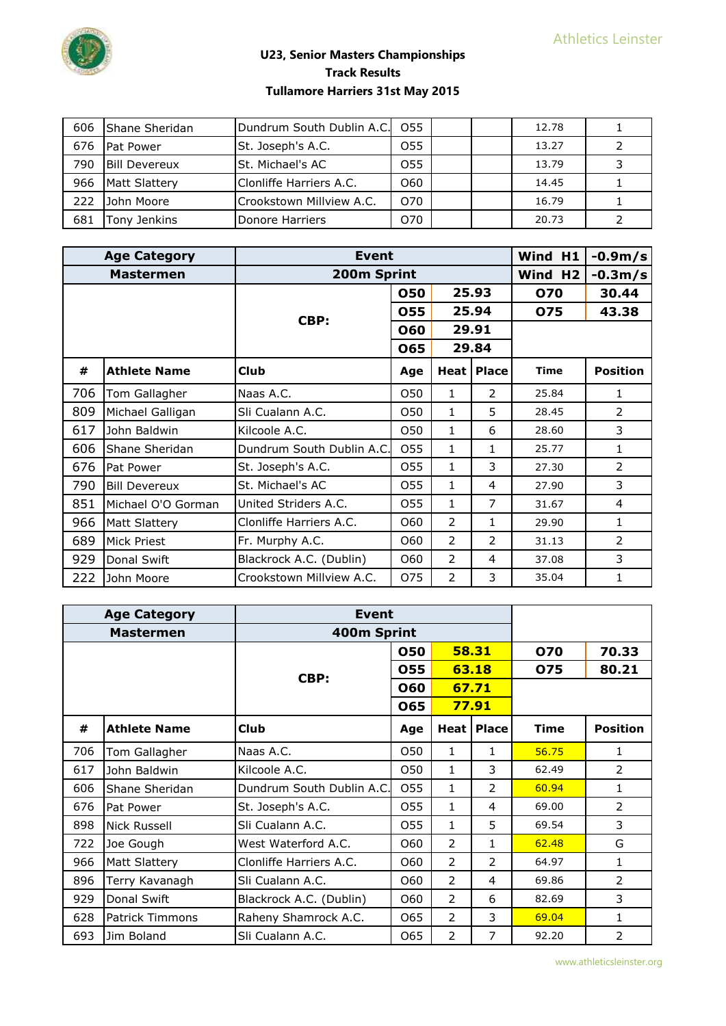

| 606 | <b>I</b> Shane Sheridan | Dundrum South Dublin A.C. | O <sub>55</sub> |  | 12.78 |  |
|-----|-------------------------|---------------------------|-----------------|--|-------|--|
| 676 | <b>IPat Power</b>       | St. Joseph's A.C.         | 055             |  | 13.27 |  |
| 790 | <b>Bill Devereux</b>    | <b>St. Michael's AC</b>   | 055             |  | 13.79 |  |
| 966 | Matt Slattery           | Clonliffe Harriers A.C.   | 060             |  | 14.45 |  |
| 222 | John Moore              | Crookstown Millview A.C.  | O70             |  | 16.79 |  |
| 681 | Tonv Jenkins            | Donore Harriers           | 070             |  | 20.73 |  |

|     | <b>Age Category</b>  | Event                     | Wind H1     | $-0.9m/s$ |                |             |                 |
|-----|----------------------|---------------------------|-------------|-----------|----------------|-------------|-----------------|
|     | <b>Mastermen</b>     |                           | 200m Sprint |           |                |             |                 |
|     |                      |                           | 050         | 25.93     |                | 070         | 30.44           |
|     |                      | CBP:                      | 055         |           | 25.94          | 075         | 43.38           |
|     |                      |                           | 060         |           | 29.91          |             |                 |
|     |                      |                           | 065         |           | 29.84          |             |                 |
| #   | <b>Athlete Name</b>  | <b>Club</b>               | Age         |           | Heat   Place   | <b>Time</b> | <b>Position</b> |
| 706 | Tom Gallagher        | Naas A.C.                 | 050         | 1         | $\overline{2}$ | 25.84       | 1               |
| 809 | Michael Galligan     | Sli Cualann A.C.          | O50         | 1         | 5              | 28.45       | $\mathcal{P}$   |
| 617 | John Baldwin         | Kilcoole A.C.             | O50         | 1         | 6              | 28.60       | 3               |
| 606 | Shane Sheridan       | Dundrum South Dublin A.C. | 055         | 1         | 1              | 25.77       | $\mathbf{1}$    |
| 676 | Pat Power            | St. Joseph's A.C.         | 055         | 1         | 3              | 27.30       | 2               |
| 790 | <b>Bill Devereux</b> | St. Michael's AC          | 055         | 1         | 4              | 27.90       | 3               |
| 851 | Michael O'O Gorman   | United Striders A.C.      | 055         | 1         | 7              | 31.67       | 4               |
| 966 | Matt Slattery        | Clonliffe Harriers A.C.   | 060         | 2         | 1              | 29.90       | 1               |
| 689 | Mick Priest          | Fr. Murphy A.C.           | 060         | 2         | 2              | 31.13       | $\mathcal{P}$   |
| 929 | Donal Swift          | Blackrock A.C. (Dublin)   | 060         | 2         | 4              | 37.08       | 3               |
| 222 | John Moore           | Crookstown Millview A.C.  | 075         | 2         | 3              | 35.04       | 1               |

|     | <b>Age Category</b> | Event                     |              |        |              |       |                 |
|-----|---------------------|---------------------------|--------------|--------|--------------|-------|-----------------|
|     | <b>Mastermen</b>    | 400m Sprint               |              |        |              |       |                 |
|     |                     |                           | 050          | 58.31  |              | 070   | 70.33           |
|     |                     | CBP:                      | 055          |        | 63.18        | 075   | 80.21           |
|     |                     |                           | 060          |        | 67.71        |       |                 |
|     |                     |                           | 77.91<br>065 |        |              |       |                 |
| #   | <b>Athlete Name</b> | <b>Club</b>               | Age          | Heat I | <b>Place</b> | Time  | <b>Position</b> |
| 706 | Tom Gallagher       | Naas A.C.                 | O50          | 1      | 1            | 56.75 | 1               |
| 617 | John Baldwin        | Kilcoole A.C.             | O50          | 1      | 3            | 62.49 | 2               |
| 606 | Shane Sheridan      | Dundrum South Dublin A.C. | 055          | 1      | 2            | 60.94 | 1               |
| 676 | Pat Power           | St. Joseph's A.C.         | 055          | 1      | 4            | 69.00 | $\overline{2}$  |
| 898 | Nick Russell        | Sli Cualann A.C.          | 055          | 1      | 5            | 69.54 | 3               |
| 722 | Joe Gough           | West Waterford A.C.       | 060          | 2      | 1            | 62.48 | G               |
| 966 | Matt Slattery       | Clonliffe Harriers A.C.   | 060          | 2      | 2            | 64.97 | 1               |
| 896 | Terry Kavanagh      | Sli Cualann A.C.          | 060          | 2      | 4            | 69.86 | 2               |
| 929 | Donal Swift         | Blackrock A.C. (Dublin)   | 060          | 2      | 6            | 82.69 | 3               |
| 628 | Patrick Timmons     | Raheny Shamrock A.C.      | 065          | 2      | 3            | 69.04 | 1               |
| 693 | Jim Boland          | Sli Cualann A.C.          | 065          | 2      | 7            | 92.20 | 2               |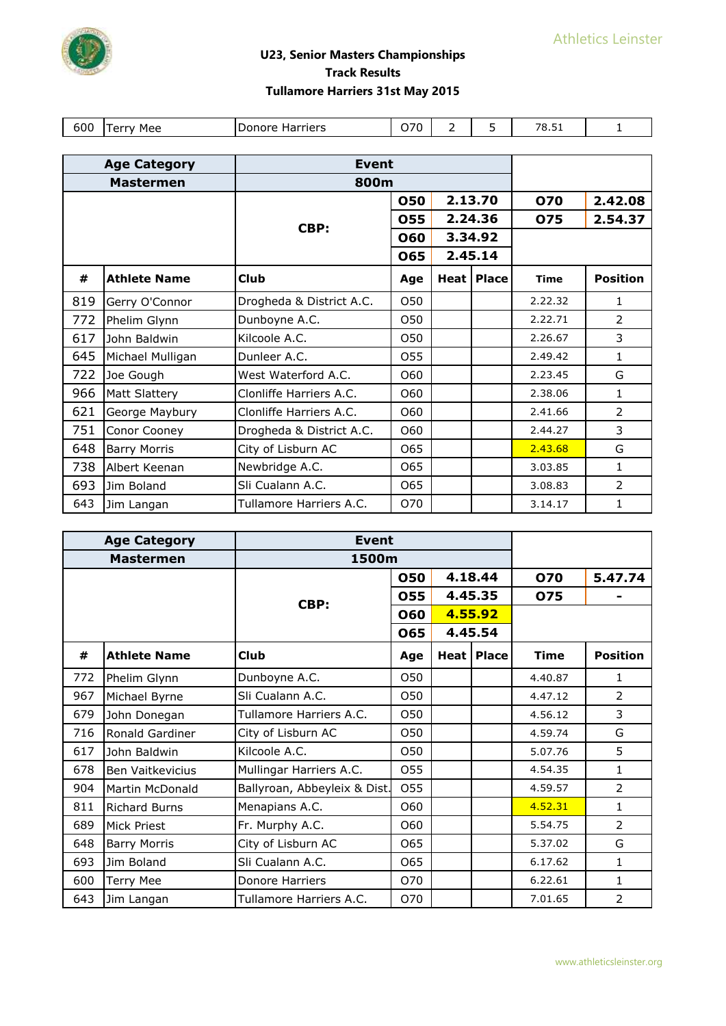

| 600 | Mee<br>$.$ $\triangle$ rr<br>ີ<br>י | Harriers<br>Donore | 070 | - | -<br>۔ | 70 F<br>15.51 |  |
|-----|-------------------------------------|--------------------|-----|---|--------|---------------|--|

|     | <b>Age Category</b> | <b>Event</b>             |            |         |              |             |                 |
|-----|---------------------|--------------------------|------------|---------|--------------|-------------|-----------------|
|     | <b>Mastermen</b>    | 800m                     |            |         |              |             |                 |
|     |                     |                          | <b>050</b> | 2.13.70 |              | <b>070</b>  | 2.42.08         |
|     |                     | CBP:                     | 055        |         | 2.24.36      | 075         | 2.54.37         |
|     |                     |                          | 060        |         | 3.34.92      |             |                 |
|     |                     |                          | 065        |         | 2.45.14      |             |                 |
| #   | <b>Athlete Name</b> | <b>Club</b>              | Age        |         | Heat   Place | <b>Time</b> | <b>Position</b> |
| 819 | Gerry O'Connor      | Drogheda & District A.C. | 050        |         |              | 2.22.32     | 1               |
| 772 | Phelim Glynn        | Dunboyne A.C.            | 050        |         |              | 2.22.71     | $\overline{2}$  |
| 617 | John Baldwin        | Kilcoole A.C.            | 050        |         |              | 2.26.67     | 3               |
| 645 | Michael Mulligan    | Dunleer A.C.             | O55        |         |              | 2.49.42     | 1               |
| 722 | Joe Gough           | West Waterford A.C.      | O60        |         |              | 2.23.45     | G               |
| 966 | Matt Slattery       | Clonliffe Harriers A.C.  | 060        |         |              | 2.38.06     | 1               |
| 621 | George Maybury      | Clonliffe Harriers A.C.  | 060        |         |              | 2.41.66     | $\mathcal{P}$   |
| 751 | Conor Cooney        | Drogheda & District A.C. | O60        |         |              | 2.44.27     | 3               |
| 648 | <b>Barry Morris</b> | City of Lisburn AC       | 065        |         |              | 2.43.68     | G               |
| 738 | Albert Keenan       | Newbridge A.C.           | 065        |         |              | 3.03.85     | 1               |
| 693 | <b>Jim Boland</b>   | Sli Cualann A.C.         | 065        |         |              | 3.08.83     | 2               |
| 643 | Jim Langan          | Tullamore Harriers A.C.  | O70        |         |              | 3.14.17     | 1               |

|     | <b>Age Category</b>  | <b>Event</b>                 |     |         |              |             |                 |
|-----|----------------------|------------------------------|-----|---------|--------------|-------------|-----------------|
|     | <b>Mastermen</b>     | 1500m                        |     |         |              |             |                 |
|     |                      |                              | 050 | 4.18.44 |              | <b>070</b>  | 5.47.74         |
|     |                      | CBP:                         | 055 |         | 4.45.35      | 075         |                 |
|     |                      |                              | 060 |         | 4.55.92      |             |                 |
|     |                      |                              | 065 |         | 4.45.54      |             |                 |
| #   | <b>Athlete Name</b>  | <b>Club</b>                  | Age |         | Heat   Place | <b>Time</b> | <b>Position</b> |
| 772 | Phelim Glynn         | Dunboyne A.C.                | 050 |         |              | 4.40.87     | $\mathbf{1}$    |
| 967 | Michael Byrne        | Sli Cualann A.C.             | 050 |         |              | 4.47.12     | $\mathcal{P}$   |
| 679 | John Donegan         | Tullamore Harriers A.C.      | 050 |         |              | 4.56.12     | 3               |
| 716 | Ronald Gardiner      | City of Lisburn AC           | 050 |         |              | 4.59.74     | G               |
| 617 | John Baldwin         | Kilcoole A.C.                | O50 |         |              | 5.07.76     | 5               |
| 678 | Ben Vaitkevicius     | Mullingar Harriers A.C.      | 055 |         |              | 4.54.35     | $\mathbf{1}$    |
| 904 | Martin McDonald      | Ballyroan, Abbeyleix & Dist. | O55 |         |              | 4.59.57     | $\overline{2}$  |
| 811 | <b>Richard Burns</b> | Menapians A.C.               | 060 |         |              | 4.52.31     | 1               |
| 689 | Mick Priest          | Fr. Murphy A.C.              | O60 |         |              | 5.54.75     | $\overline{2}$  |
| 648 | <b>Barry Morris</b>  | City of Lisburn AC           | 065 |         |              | 5.37.02     | G               |
| 693 | Jim Boland           | Sli Cualann A.C.             | 065 |         |              | 6.17.62     | 1               |
| 600 | <b>Terry Mee</b>     | Donore Harriers              | O70 |         |              | 6.22.61     | $\mathbf{1}$    |
| 643 | Jim Langan           | Tullamore Harriers A.C.      | O70 |         |              | 7.01.65     | 2               |